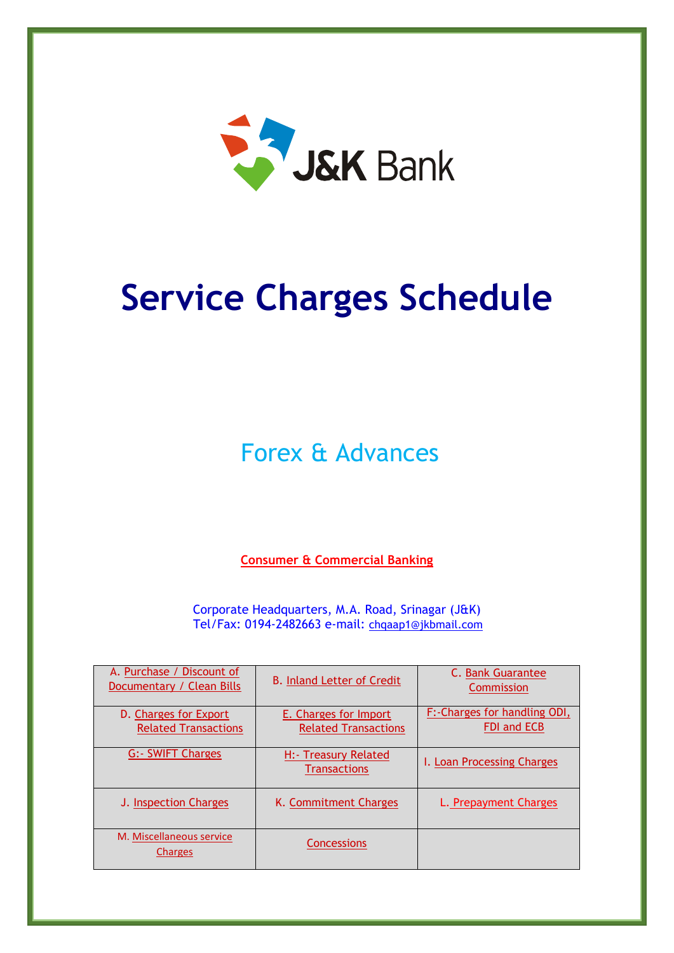

# **Service Charges Schedule**

Forex & Advances

**Consumer & Commercial Banking**

Corporate Headquarters, M.A. Road, Srinagar (J&K) Tel/Fax: 0194-2482663 e-mail: [chqaap1@jkbmail.com](mailto:sp.chq@jkbmail.com)

| A. Purchase / Discount of<br>Documentary / Clean Bills | <b>B. Inland Letter of Credit</b>                    | C. Bank Guarantee<br>Commission                    |
|--------------------------------------------------------|------------------------------------------------------|----------------------------------------------------|
| D. Charges for Export<br><b>Related Transactions</b>   | E. Charges for Import<br><b>Related Transactions</b> | F:-Charges for handling ODI,<br><b>FDI and ECB</b> |
| <b>G:- SWIFT Charges</b>                               | H: Treasury Related<br><b>Transactions</b>           | I. Loan Processing Charges                         |
| J. Inspection Charges                                  | K. Commitment Charges                                | L. Prepayment Charges                              |
| M. Miscellaneous service<br><b>Charges</b>             | Concessions                                          |                                                    |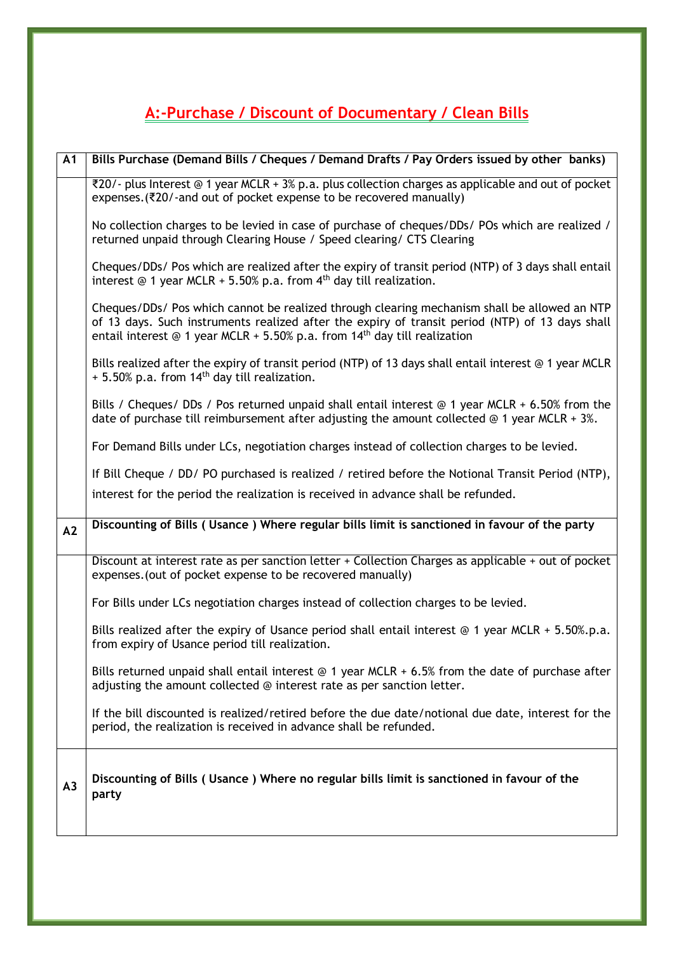## <span id="page-1-0"></span>**A:-Purchase / Discount of Documentary / Clean Bills**

| $\overline{A1}$ | Bills Purchase (Demand Bills / Cheques / Demand Drafts / Pay Orders issued by other banks)                                                                                                                                                                                                     |
|-----------------|------------------------------------------------------------------------------------------------------------------------------------------------------------------------------------------------------------------------------------------------------------------------------------------------|
|                 | ₹20/- plus Interest @ 1 year MCLR + 3% p.a. plus collection charges as applicable and out of pocket<br>expenses. (₹20/-and out of pocket expense to be recovered manually)                                                                                                                     |
|                 | No collection charges to be levied in case of purchase of cheques/DDs/ POs which are realized /<br>returned unpaid through Clearing House / Speed clearing/ CTS Clearing                                                                                                                       |
|                 | Cheques/DDs/ Pos which are realized after the expiry of transit period (NTP) of 3 days shall entail<br>interest $\odot$ 1 year MCLR + 5.50% p.a. from 4 <sup>th</sup> day till realization.                                                                                                    |
|                 | Cheques/DDs/ Pos which cannot be realized through clearing mechanism shall be allowed an NTP<br>of 13 days. Such instruments realized after the expiry of transit period (NTP) of 13 days shall<br>entail interest $\odot$ 1 year MCLR + 5.50% p.a. from 14 <sup>th</sup> day till realization |
|                 | Bills realized after the expiry of transit period (NTP) of 13 days shall entail interest @ 1 year MCLR<br>+ 5.50% p.a. from 14 <sup>th</sup> day till realization.                                                                                                                             |
|                 | Bills / Cheques/ DDs / Pos returned unpaid shall entail interest $@$ 1 year MCLR + 6.50% from the<br>date of purchase till reimbursement after adjusting the amount collected $\circledcirc$ 1 year MCLR + 3%.                                                                                 |
|                 | For Demand Bills under LCs, negotiation charges instead of collection charges to be levied.                                                                                                                                                                                                    |
|                 | If Bill Cheque / DD/ PO purchased is realized / retired before the Notional Transit Period (NTP),                                                                                                                                                                                              |
|                 | interest for the period the realization is received in advance shall be refunded.                                                                                                                                                                                                              |
| A2              | Discounting of Bills (Usance) Where regular bills limit is sanctioned in favour of the party                                                                                                                                                                                                   |
|                 | Discount at interest rate as per sanction letter + Collection Charges as applicable + out of pocket<br>expenses. (out of pocket expense to be recovered manually)                                                                                                                              |
|                 | For Bills under LCs negotiation charges instead of collection charges to be levied.                                                                                                                                                                                                            |
|                 | Bills realized after the expiry of Usance period shall entail interest $@$ 1 year MCLR + 5.50%.p.a.<br>from expiry of Usance period till realization.                                                                                                                                          |
|                 | Bills returned unpaid shall entail interest $\odot$ 1 year MCLR + 6.5% from the date of purchase after<br>adjusting the amount collected @ interest rate as per sanction letter.                                                                                                               |
|                 | If the bill discounted is realized/retired before the due date/notional due date, interest for the<br>period, the realization is received in advance shall be refunded.                                                                                                                        |
| A <sub>3</sub>  | Discounting of Bills (Usance) Where no regular bills limit is sanctioned in favour of the<br>party                                                                                                                                                                                             |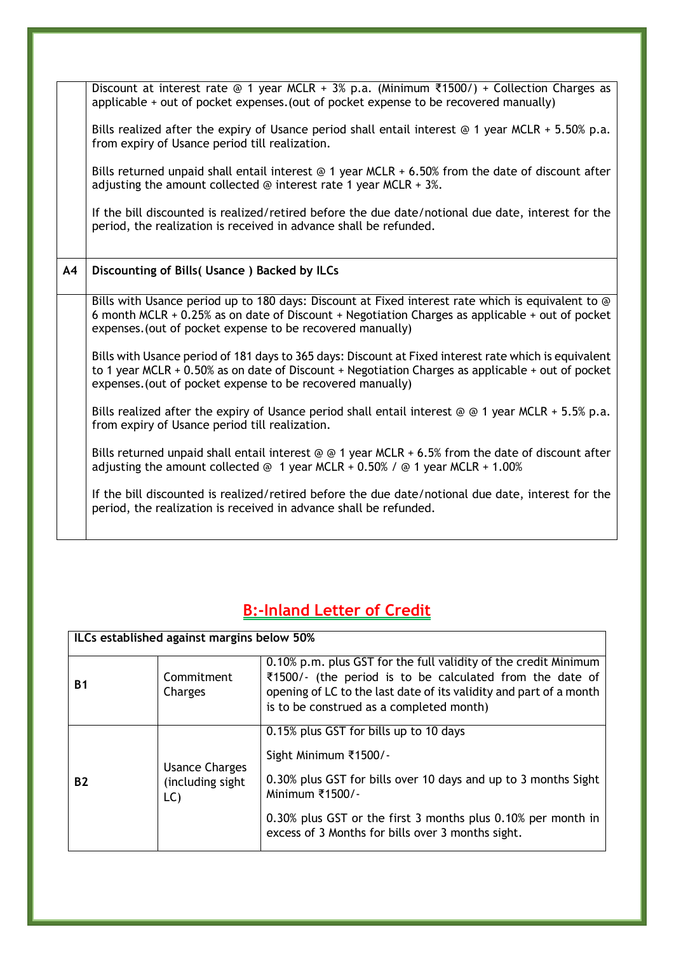|    | applicable + out of pocket expenses. (out of pocket expense to be recovered manually)                                                                                                                                                                                          |
|----|--------------------------------------------------------------------------------------------------------------------------------------------------------------------------------------------------------------------------------------------------------------------------------|
|    | Bills realized after the expiry of Usance period shall entail interest $@$ 1 year MCLR + 5.50% p.a.<br>from expiry of Usance period till realization.                                                                                                                          |
|    | Bills returned unpaid shall entail interest $\odot$ 1 year MCLR + 6.50% from the date of discount after<br>adjusting the amount collected $\odot$ interest rate 1 year MCLR + 3%.                                                                                              |
|    | If the bill discounted is realized/retired before the due date/notional due date, interest for the<br>period, the realization is received in advance shall be refunded.                                                                                                        |
|    |                                                                                                                                                                                                                                                                                |
| A4 | Discounting of Bills (Usance) Backed by ILCs                                                                                                                                                                                                                                   |
|    |                                                                                                                                                                                                                                                                                |
|    | Bills with Usance period up to 180 days: Discount at Fixed interest rate which is equivalent to @<br>6 month MCLR + 0.25% as on date of Discount + Negotiation Charges as applicable + out of pocket<br>expenses. (out of pocket expense to be recovered manually)             |
|    | Bills with Usance period of 181 days to 365 days: Discount at Fixed interest rate which is equivalent<br>to 1 year MCLR $+$ 0.50% as on date of Discount $+$ Negotiation Charges as applicable $+$ out of pocket<br>expenses. (out of pocket expense to be recovered manually) |
|    | Bills realized after the expiry of Usance period shall entail interest $\circledcirc$ $\circ$ 1 year MCLR + 5.5% p.a.<br>from expiry of Usance period till realization.                                                                                                        |
|    | Bills returned unpaid shall entail interest $\odot$ $\odot$ 1 year MCLR + 6.5% from the date of discount after<br>adjusting the amount collected $\odot$ 1 year MCLR + 0.50% / $\odot$ 1 year MCLR + 1.00%                                                                     |
|    | If the bill discounted is realized/retired before the due date/notional due date, interest for the<br>period, the realization is received in advance shall be refunded.                                                                                                        |

Discount at interest rate @ 1 year MCLR + 3% p.a. (Minimum ₹1500/) + Collection Charges as

### <span id="page-2-0"></span>**B:-Inland Letter of Credit**

| ILCs established against margins below 50% |                                                      |                                                                                                                                                                                                                                                                           |
|--------------------------------------------|------------------------------------------------------|---------------------------------------------------------------------------------------------------------------------------------------------------------------------------------------------------------------------------------------------------------------------------|
| <b>B1</b>                                  | Commitment<br>Charges                                | 0.10% p.m. plus GST for the full validity of the credit Minimum<br>₹1500/- (the period is to be calculated from the date of<br>opening of LC to the last date of its validity and part of a month<br>is to be construed as a completed month)                             |
| <b>B2</b>                                  | <b>Usance Charges</b><br>(including sight)<br>$LC$ ) | 0.15% plus GST for bills up to 10 days<br>Sight Minimum ₹1500/-<br>0.30% plus GST for bills over 10 days and up to 3 months Sight<br>Minimum ₹1500/-<br>0.30% plus GST or the first 3 months plus 0.10% per month in<br>excess of 3 Months for bills over 3 months sight. |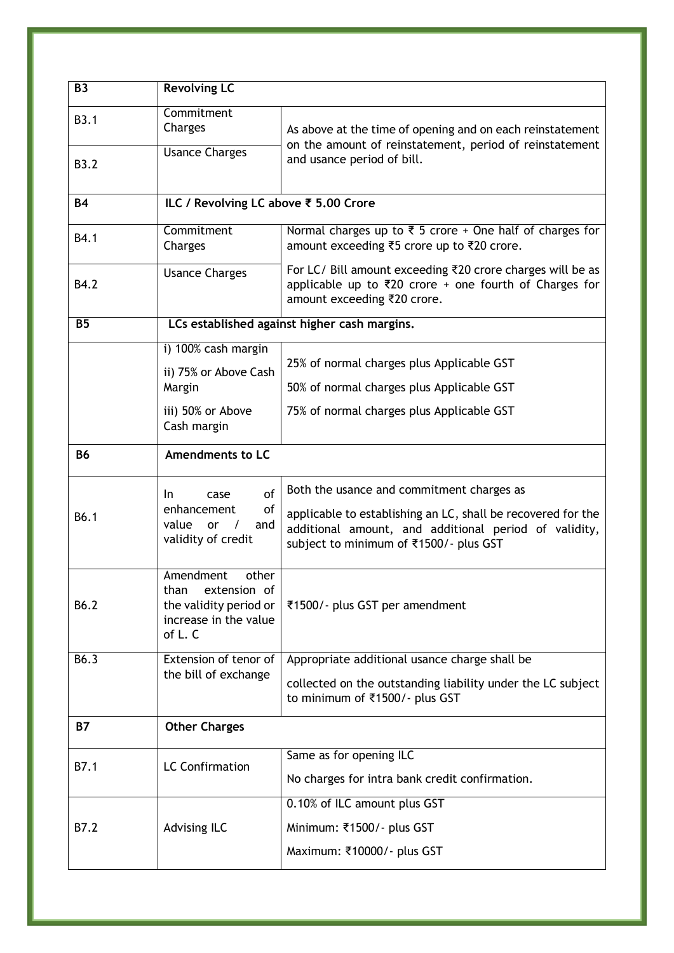| <b>B3</b>   | <b>Revolving LC</b>                                                                                     |                                                                                                                                                                 |
|-------------|---------------------------------------------------------------------------------------------------------|-----------------------------------------------------------------------------------------------------------------------------------------------------------------|
| B3.1        | Commitment<br>Charges                                                                                   | As above at the time of opening and on each reinstatement<br>on the amount of reinstatement, period of reinstatement                                            |
| <b>B3.2</b> | <b>Usance Charges</b>                                                                                   | and usance period of bill.                                                                                                                                      |
| <b>B4</b>   | ILC / Revolving LC above ₹ 5.00 Crore                                                                   |                                                                                                                                                                 |
| B4.1        | Commitment<br>Charges                                                                                   | Normal charges up to $\overline{\xi}$ 5 crore + One half of charges for<br>amount exceeding ₹5 crore up to ₹20 crore.                                           |
| B4.2        | <b>Usance Charges</b>                                                                                   | For LC/ Bill amount exceeding ₹20 crore charges will be as<br>applicable up to ₹20 crore + one fourth of Charges for<br>amount exceeding ₹20 crore.             |
| <b>B5</b>   |                                                                                                         | LCs established against higher cash margins.                                                                                                                    |
|             | i) 100% cash margin                                                                                     | 25% of normal charges plus Applicable GST                                                                                                                       |
|             | ii) 75% or Above Cash<br>Margin                                                                         | 50% of normal charges plus Applicable GST                                                                                                                       |
|             | iii) 50% or Above<br>Cash margin                                                                        | 75% of normal charges plus Applicable GST                                                                                                                       |
| <b>B6</b>   | <b>Amendments to LC</b>                                                                                 |                                                                                                                                                                 |
|             | <sub>of</sub><br>case<br>In.                                                                            | Both the usance and commitment charges as                                                                                                                       |
| B6.1        | enhancement<br>of<br>value<br>or<br>and<br>validity of credit                                           | applicable to establishing an LC, shall be recovered for the<br>additional amount, and additional period of validity,<br>subject to minimum of ₹1500/- plus GST |
| B6.2        | Amendment<br>other<br>extension of<br>than<br>the validity period or<br>increase in the value<br>of L.C | ₹1500/- plus GST per amendment                                                                                                                                  |
| B6.3        | Extension of tenor of<br>the bill of exchange                                                           | Appropriate additional usance charge shall be                                                                                                                   |
|             |                                                                                                         | collected on the outstanding liability under the LC subject<br>to minimum of ₹1500/- plus GST                                                                   |
| <b>B7</b>   | <b>Other Charges</b>                                                                                    |                                                                                                                                                                 |
| B7.1        | <b>LC Confirmation</b>                                                                                  | Same as for opening ILC                                                                                                                                         |
|             |                                                                                                         | No charges for intra bank credit confirmation.                                                                                                                  |
|             |                                                                                                         | 0.10% of ILC amount plus GST                                                                                                                                    |
| B7.2        | Advising ILC                                                                                            | Minimum: ₹1500/- plus GST                                                                                                                                       |
|             |                                                                                                         | Maximum: ₹10000/- plus GST                                                                                                                                      |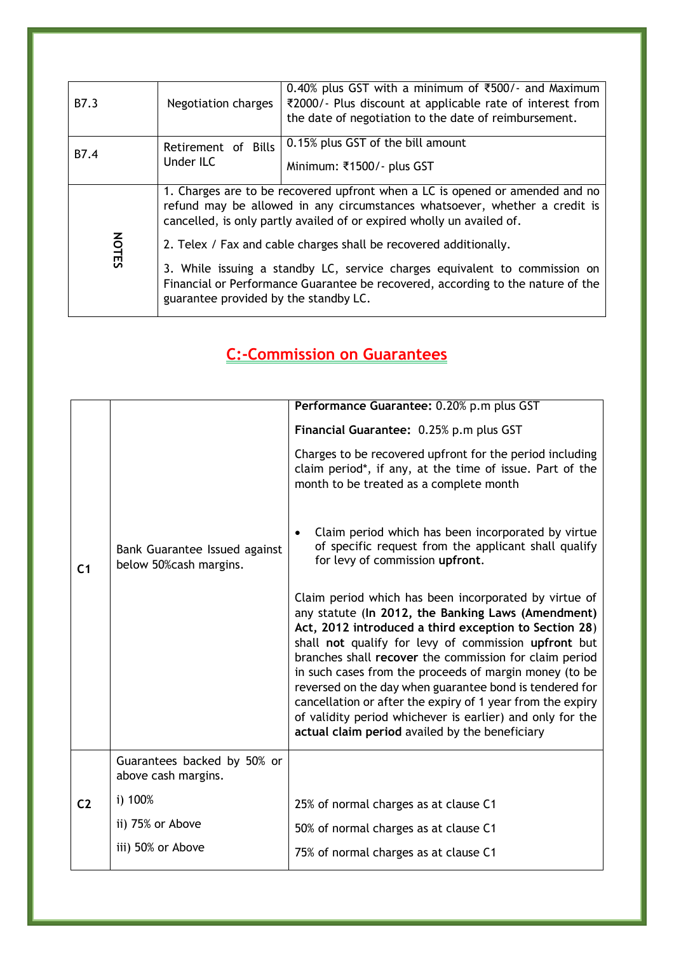| B7.3                                                                                                                                                                                                                                                                                        | Negotiation charges              | 0.40% plus GST with a minimum of ₹500/- and Maximum<br>₹2000/- Plus discount at applicable rate of interest from<br>the date of negotiation to the date of reimbursement.                                                           |  |
|---------------------------------------------------------------------------------------------------------------------------------------------------------------------------------------------------------------------------------------------------------------------------------------------|----------------------------------|-------------------------------------------------------------------------------------------------------------------------------------------------------------------------------------------------------------------------------------|--|
| B7.4                                                                                                                                                                                                                                                                                        | Retirement of Bills<br>Under ILC | 0.15% plus GST of the bill amount<br>Minimum: ₹1500/- plus GST                                                                                                                                                                      |  |
|                                                                                                                                                                                                                                                                                             |                                  | 1. Charges are to be recovered upfront when a LC is opened or amended and no<br>refund may be allowed in any circumstances whatsoever, whether a credit is<br>cancelled, is only partly availed of or expired wholly un availed of. |  |
| <b>NOTES</b><br>2. Telex / Fax and cable charges shall be recovered additionally.<br>3. While issuing a standby LC, service charges equivalent to commission on<br>Financial or Performance Guarantee be recovered, according to the nature of the<br>guarantee provided by the standby LC. |                                  |                                                                                                                                                                                                                                     |  |
|                                                                                                                                                                                                                                                                                             |                                  |                                                                                                                                                                                                                                     |  |

### <span id="page-4-0"></span>**C:-Commission on Guarantees**

|                |                                                          | Performance Guarantee: 0.20% p.m plus GST                                                                                                                                                                                                                                                                                                                                                                                                                                                                                                                                                |
|----------------|----------------------------------------------------------|------------------------------------------------------------------------------------------------------------------------------------------------------------------------------------------------------------------------------------------------------------------------------------------------------------------------------------------------------------------------------------------------------------------------------------------------------------------------------------------------------------------------------------------------------------------------------------------|
|                |                                                          | Financial Guarantee: 0.25% p.m plus GST                                                                                                                                                                                                                                                                                                                                                                                                                                                                                                                                                  |
|                |                                                          | Charges to be recovered upfront for the period including<br>claim period*, if any, at the time of issue. Part of the<br>month to be treated as a complete month                                                                                                                                                                                                                                                                                                                                                                                                                          |
| C <sub>1</sub> | Bank Guarantee Issued against<br>below 50% cash margins. | Claim period which has been incorporated by virtue<br>of specific request from the applicant shall qualify<br>for levy of commission upfront.                                                                                                                                                                                                                                                                                                                                                                                                                                            |
|                |                                                          | Claim period which has been incorporated by virtue of<br>any statute (In 2012, the Banking Laws (Amendment)<br>Act, 2012 introduced a third exception to Section 28)<br>shall not qualify for levy of commission upfront but<br>branches shall recover the commission for claim period<br>in such cases from the proceeds of margin money (to be<br>reversed on the day when guarantee bond is tendered for<br>cancellation or after the expiry of 1 year from the expiry<br>of validity period whichever is earlier) and only for the<br>actual claim period availed by the beneficiary |
|                | Guarantees backed by 50% or<br>above cash margins.       |                                                                                                                                                                                                                                                                                                                                                                                                                                                                                                                                                                                          |
| C <sub>2</sub> | i) 100%                                                  | 25% of normal charges as at clause C1                                                                                                                                                                                                                                                                                                                                                                                                                                                                                                                                                    |
|                | ii) 75% or Above                                         | 50% of normal charges as at clause C1                                                                                                                                                                                                                                                                                                                                                                                                                                                                                                                                                    |
|                | iii) 50% or Above                                        | 75% of normal charges as at clause C1                                                                                                                                                                                                                                                                                                                                                                                                                                                                                                                                                    |
|                |                                                          |                                                                                                                                                                                                                                                                                                                                                                                                                                                                                                                                                                                          |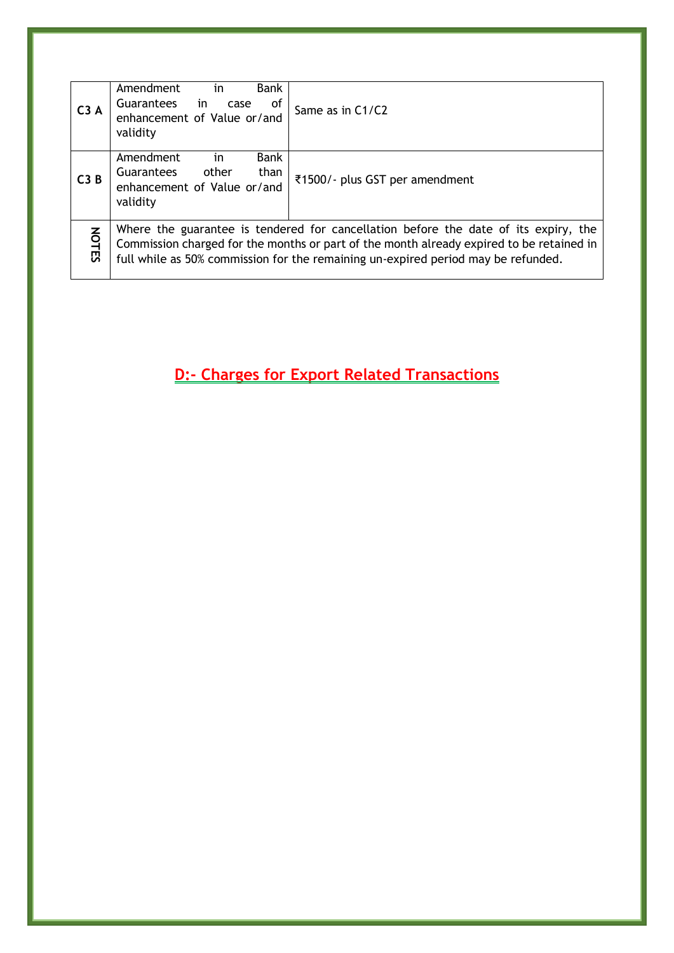| C3A          | Amendment<br>Bank<br>in<br>in<br><b>Guarantees</b><br>οf<br>case<br>enhancement of Value or/and<br>validity     | Same as in C1/C2                                                                                                                                                                                                                                                     |
|--------------|-----------------------------------------------------------------------------------------------------------------|----------------------------------------------------------------------------------------------------------------------------------------------------------------------------------------------------------------------------------------------------------------------|
| C3B          | <b>Bank</b><br>Amendment<br>in<br>than<br>other<br><b>Guarantees</b><br>enhancement of Value or/and<br>validity | ₹1500/- plus GST per amendment                                                                                                                                                                                                                                       |
| <b>NOTES</b> |                                                                                                                 | Where the guarantee is tendered for cancellation before the date of its expiry, the<br>Commission charged for the months or part of the month already expired to be retained in<br>full while as 50% commission for the remaining un-expired period may be refunded. |

<span id="page-5-0"></span>**D:- Charges for Export Related Transactions**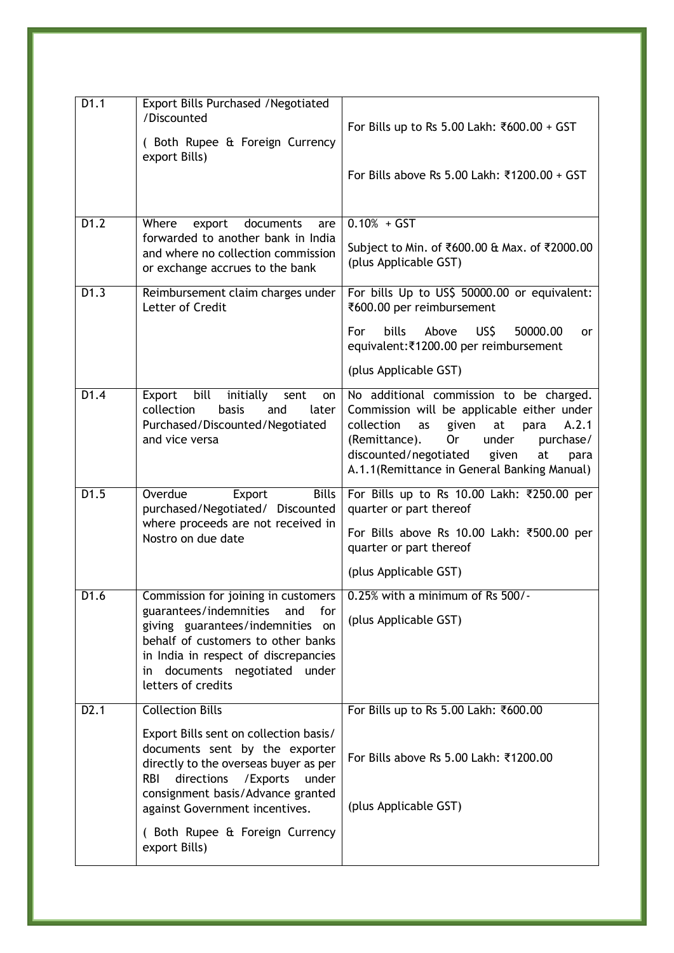| D1.1              | <b>Export Bills Purchased / Negotiated</b><br>/Discounted<br>(Both Rupee & Foreign Currency<br>export Bills)                                                                                                                                                                                                            | For Bills up to Rs 5.00 Lakh: ₹600.00 + GST<br>For Bills above Rs 5.00 Lakh: ₹1200.00 + GST                                                                                                                                                                                                   |
|-------------------|-------------------------------------------------------------------------------------------------------------------------------------------------------------------------------------------------------------------------------------------------------------------------------------------------------------------------|-----------------------------------------------------------------------------------------------------------------------------------------------------------------------------------------------------------------------------------------------------------------------------------------------|
| D1.2              | Where<br>documents<br>export<br>are<br>forwarded to another bank in India<br>and where no collection commission<br>or exchange accrues to the bank                                                                                                                                                                      | $0.10% + GST$<br>Subject to Min. of ₹600.00 & Max. of ₹2000.00<br>(plus Applicable GST)                                                                                                                                                                                                       |
| D1.3              | Reimbursement claim charges under<br>Letter of Credit                                                                                                                                                                                                                                                                   | For bills Up to US\$ 50000.00 or equivalent:<br>₹600.00 per reimbursement<br><b>bills</b><br>US\$<br>For<br>Above<br>50000.00<br>or<br>equivalent:₹1200.00 per reimbursement<br>(plus Applicable GST)                                                                                         |
| D1.4              | bill<br>Export<br>initially<br>sent<br>on<br>collection<br>basis<br>and<br>later<br>Purchased/Discounted/Negotiated<br>and vice versa                                                                                                                                                                                   | No additional commission to be charged.<br>Commission will be applicable either under<br>collection<br>given<br>at<br>para<br>A.2.1<br>as<br>under<br>(Remittance).<br><b>Or</b><br>purchase/<br>discounted/negotiated<br>given<br>at<br>para<br>A.1.1 (Remittance in General Banking Manual) |
| D1.5              | Overdue<br><b>Bills</b><br>Export<br>purchased/Negotiated/ Discounted<br>where proceeds are not received in<br>Nostro on due date                                                                                                                                                                                       | For Bills up to Rs 10.00 Lakh: ₹250.00 per<br>quarter or part thereof<br>For Bills above Rs 10.00 Lakh: ₹500.00 per<br>quarter or part thereof<br>(plus Applicable GST)                                                                                                                       |
| D <sub>1.6</sub>  | Commission for joining in customers<br>guarantees/indemnities and<br>for<br>giving guarantees/indemnities on<br>behalf of customers to other banks<br>in India in respect of discrepancies<br>documents negotiated under<br>in<br>letters of credits                                                                    | $0.25\%$ with a minimum of Rs $500/-$<br>(plus Applicable GST)                                                                                                                                                                                                                                |
| D <sub>2</sub> .1 | <b>Collection Bills</b><br>Export Bills sent on collection basis/<br>documents sent by the exporter<br>directly to the overseas buyer as per<br>directions<br><b>RBI</b><br>/Exports<br>under<br>consignment basis/Advance granted<br>against Government incentives.<br>(Both Rupee & Foreign Currency<br>export Bills) | For Bills up to Rs 5.00 Lakh: ₹600.00<br>For Bills above Rs 5.00 Lakh: ₹1200.00<br>(plus Applicable GST)                                                                                                                                                                                      |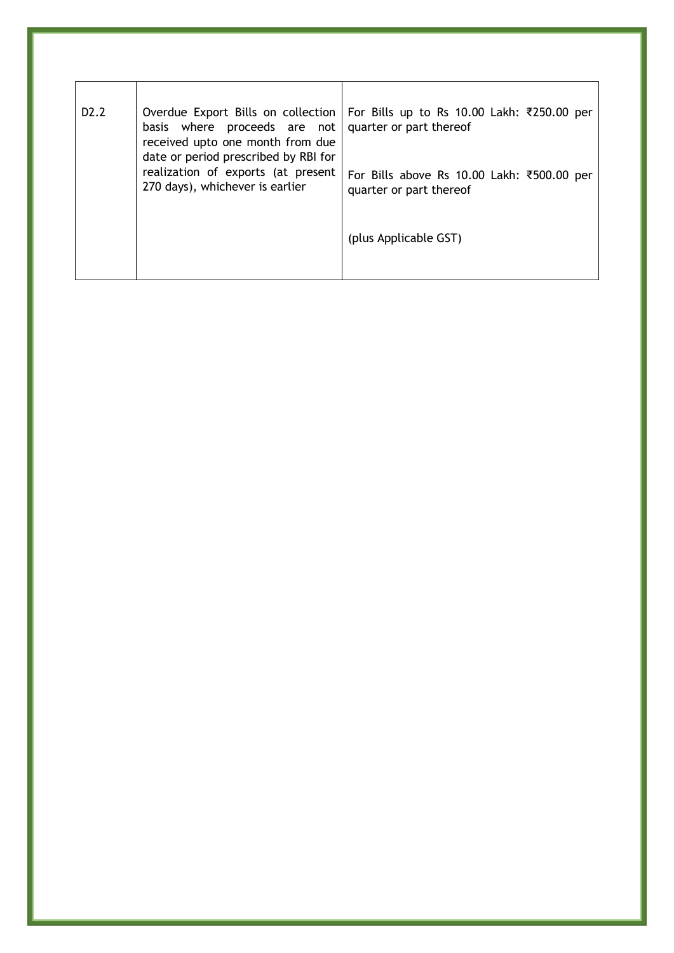| D <sub>2</sub> .2 | basis where proceeds are not   quarter or part thereof<br>received upto one month from due                    | Overdue Export Bills on collection   For Bills up to Rs 10.00 Lakh: ₹250.00 per |
|-------------------|---------------------------------------------------------------------------------------------------------------|---------------------------------------------------------------------------------|
|                   | date or period prescribed by RBI for<br>realization of exports (at present<br>270 days), whichever is earlier | For Bills above Rs 10.00 Lakh: ₹500.00 per<br>quarter or part thereof           |
|                   |                                                                                                               | (plus Applicable GST)                                                           |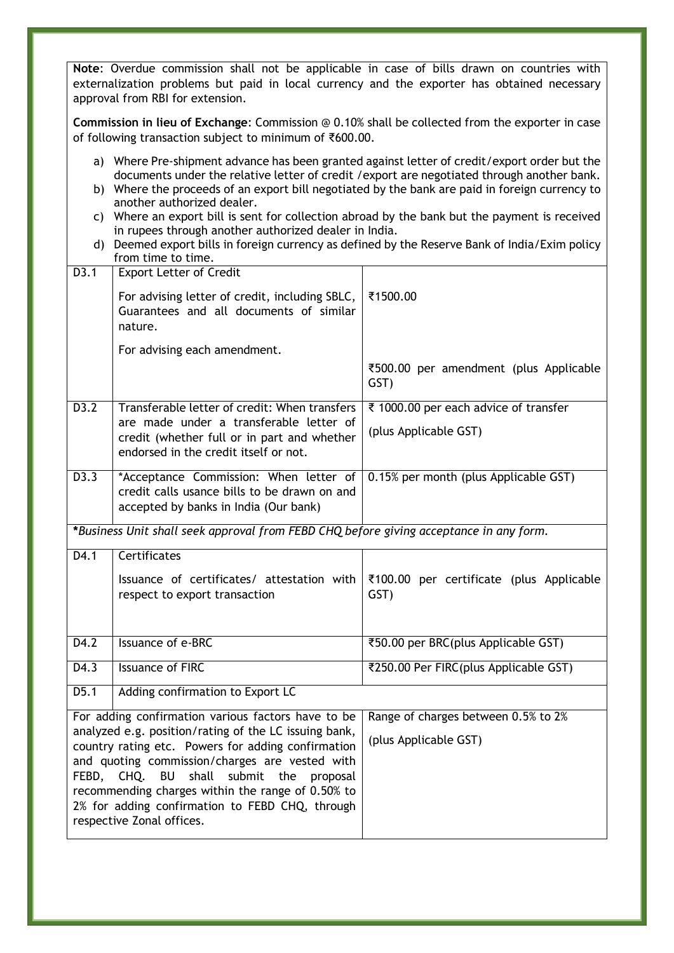**Note**: Overdue commission shall not be applicable in case of bills drawn on countries with externalization problems but paid in local currency and the exporter has obtained necessary approval from RBI for extension.

**Commission in lieu of Exchange**: Commission @ 0.10% shall be collected from the exporter in case of following transaction subject to minimum of ₹600.00.

- a) Where Pre-shipment advance has been granted against letter of credit/export order but the documents under the relative letter of credit /export are negotiated through another bank.
- b) Where the proceeds of an export bill negotiated by the bank are paid in foreign currency to another authorized dealer.
- c) Where an export bill is sent for collection abroad by the bank but the payment is received in rupees through another authorized dealer in India.
- d) Deemed export bills in foreign currency as defined by the Reserve Bank of India/Exim policy from time to time.

| D3.1              | <b>Export Letter of Credit</b>                                                                                                                                                                                                                                                                                                                     |                                                  |
|-------------------|----------------------------------------------------------------------------------------------------------------------------------------------------------------------------------------------------------------------------------------------------------------------------------------------------------------------------------------------------|--------------------------------------------------|
|                   | For advising letter of credit, including SBLC,<br>Guarantees and all documents of similar<br>nature.                                                                                                                                                                                                                                               | ₹1500.00                                         |
|                   | For advising each amendment.                                                                                                                                                                                                                                                                                                                       |                                                  |
|                   |                                                                                                                                                                                                                                                                                                                                                    | ₹500.00 per amendment (plus Applicable<br>GST)   |
| D3.2              | Transferable letter of credit: When transfers                                                                                                                                                                                                                                                                                                      | ₹ 1000.00 per each advice of transfer            |
|                   | are made under a transferable letter of<br>credit (whether full or in part and whether<br>endorsed in the credit itself or not.                                                                                                                                                                                                                    | (plus Applicable GST)                            |
| $\overline{D3.3}$ | *Acceptance Commission: When letter of<br>credit calls usance bills to be drawn on and<br>accepted by banks in India (Our bank)                                                                                                                                                                                                                    | 0.15% per month (plus Applicable GST)            |
|                   | *Business Unit shall seek approval from FEBD CHQ before giving acceptance in any form.                                                                                                                                                                                                                                                             |                                                  |
| $\overline{D4.1}$ | Certificates                                                                                                                                                                                                                                                                                                                                       |                                                  |
|                   | Issuance of certificates/ attestation with<br>respect to export transaction                                                                                                                                                                                                                                                                        | ₹100.00 per certificate (plus Applicable<br>GST) |
| D4.2              | <b>Issuance of e-BRC</b>                                                                                                                                                                                                                                                                                                                           | ₹50.00 per BRC(plus Applicable GST)              |
| D4.3              | <b>Issuance of FIRC</b>                                                                                                                                                                                                                                                                                                                            | ₹250.00 Per FIRC(plus Applicable GST)            |
| $\overline{D5.1}$ | Adding confirmation to Export LC                                                                                                                                                                                                                                                                                                                   |                                                  |
|                   | For adding confirmation various factors have to be                                                                                                                                                                                                                                                                                                 | Range of charges between 0.5% to 2%              |
| FEBD, CHQ.        | analyzed e.g. position/rating of the LC issuing bank,<br>country rating etc. Powers for adding confirmation<br>and quoting commission/charges are vested with<br>submit the<br>proposal<br><b>BU</b><br>shall<br>recommending charges within the range of 0.50% to<br>2% for adding confirmation to FEBD CHQ, through<br>respective Zonal offices. | (plus Applicable GST)                            |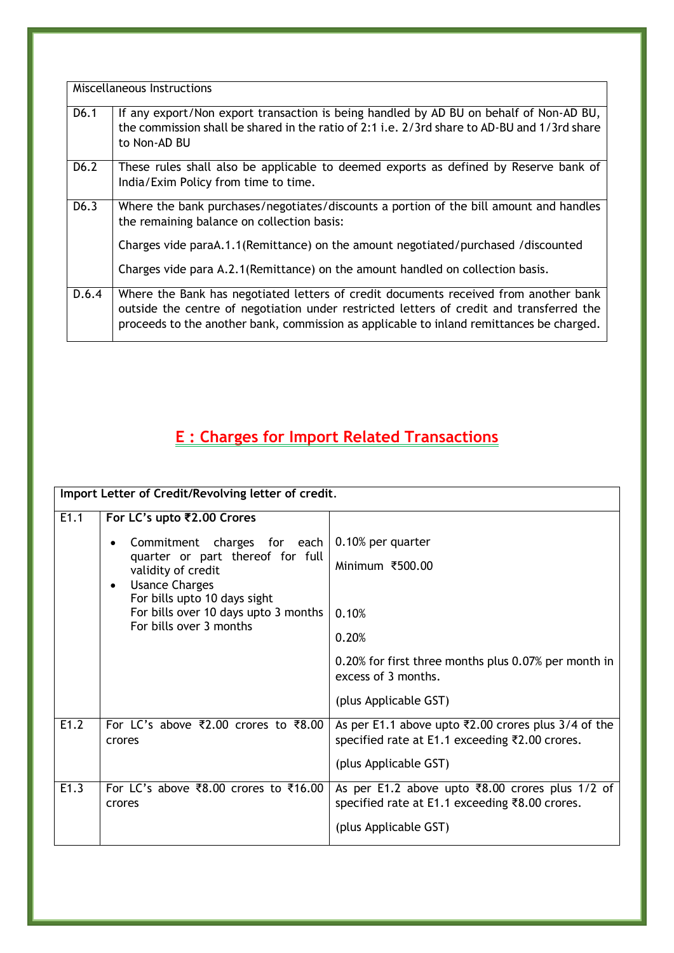|                   | Miscellaneous Instructions                                                                                                                                                                                                                                                   |
|-------------------|------------------------------------------------------------------------------------------------------------------------------------------------------------------------------------------------------------------------------------------------------------------------------|
| D6.1              | If any export/Non export transaction is being handled by AD BU on behalf of Non-AD BU,<br>the commission shall be shared in the ratio of 2:1 i.e. 2/3rd share to AD-BU and 1/3rd share<br>to Non-AD BU                                                                       |
| D <sub>6</sub> .2 | These rules shall also be applicable to deemed exports as defined by Reserve bank of<br>India/Exim Policy from time to time.                                                                                                                                                 |
| D <sub>6</sub> .3 | Where the bank purchases/negotiates/discounts a portion of the bill amount and handles<br>the remaining balance on collection basis:                                                                                                                                         |
|                   | Charges vide paraA.1.1(Remittance) on the amount negotiated/purchased/discounted                                                                                                                                                                                             |
|                   | Charges vide para A.2.1 (Remittance) on the amount handled on collection basis.                                                                                                                                                                                              |
| D.6.4             | Where the Bank has negotiated letters of credit documents received from another bank<br>outside the centre of negotiation under restricted letters of credit and transferred the<br>proceeds to the another bank, commission as applicable to inland remittances be charged. |

## <span id="page-9-0"></span>**E : Charges for Import Related Transactions**

| Import Letter of Credit/Revolving letter of credit.                                             |                                                        |                                                                                                         |
|-------------------------------------------------------------------------------------------------|--------------------------------------------------------|---------------------------------------------------------------------------------------------------------|
| E1.1                                                                                            | For LC's upto ₹2.00 Crores                             |                                                                                                         |
|                                                                                                 | Commitment charges for each                            | 0.10% per quarter                                                                                       |
|                                                                                                 | quarter or part thereof for full<br>validity of credit | Minimum ₹500.00                                                                                         |
|                                                                                                 | <b>Usance Charges</b><br>$\bullet$                     |                                                                                                         |
| For bills upto 10 days sight<br>For bills over 10 days upto 3 months<br>For bills over 3 months | 0.10%                                                  |                                                                                                         |
|                                                                                                 | 0.20%                                                  |                                                                                                         |
|                                                                                                 |                                                        | 0.20% for first three months plus 0.07% per month in<br>excess of 3 months.                             |
|                                                                                                 |                                                        | (plus Applicable GST)                                                                                   |
| E1.2                                                                                            | For LC's above ₹2.00 crores to ₹8.00<br>crores         | As per E1.1 above upto ₹2.00 crores plus $3/4$ of the<br>specified rate at E1.1 exceeding ₹2.00 crores. |
|                                                                                                 |                                                        | (plus Applicable GST)                                                                                   |
| E1.3                                                                                            | For LC's above ₹8.00 crores to ₹16.00<br>crores        | As per E1.2 above upto ₹8.00 crores plus 1/2 of<br>specified rate at E1.1 exceeding ₹8.00 crores.       |
|                                                                                                 |                                                        | (plus Applicable GST)                                                                                   |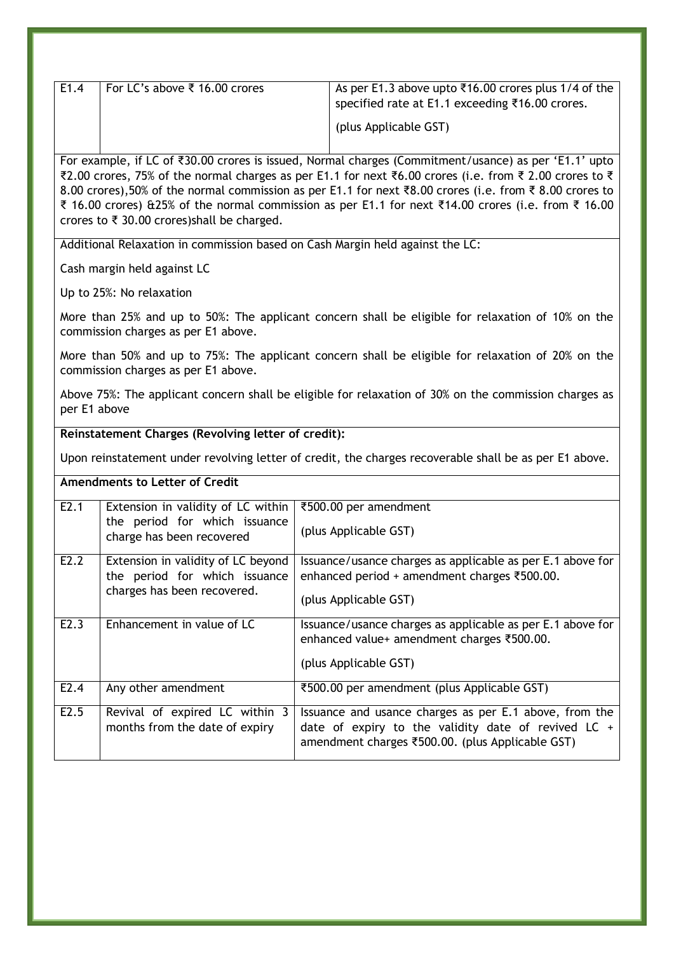| E1.4 | For LC's above ₹ 16.00 crores | As per E1.3 above upto ₹16.00 crores plus 1/4 of the<br>specified rate at E1.1 exceeding ₹16.00 crores. |
|------|-------------------------------|---------------------------------------------------------------------------------------------------------|
|      |                               | (plus Applicable GST)                                                                                   |

For example, if LC of ₹30.00 crores is issued, Normal charges (Commitment/usance) as per 'E1.1' upto ₹2.00 crores, 75% of the normal charges as per E1.1 for next ₹6.00 crores (i.e. from ₹ 2.00 crores to ₹ 8.00 crores),50% of the normal commission as per E1.1 for next ₹8.00 crores (i.e. from ₹ 8.00 crores to ₹ 16.00 crores) &25% of the normal commission as per E1.1 for next ₹14.00 crores (i.e. from ₹ 16.00 crores to ₹ 30.00 crores)shall be charged.

Additional Relaxation in commission based on Cash Margin held against the LC:

Cash margin held against LC

Up to 25%: No relaxation

More than 25% and up to 50%: The applicant concern shall be eligible for relaxation of 10% on the commission charges as per E1 above.

More than 50% and up to 75%: The applicant concern shall be eligible for relaxation of 20% on the commission charges as per E1 above.

Above 75%: The applicant concern shall be eligible for relaxation of 30% on the commission charges as per E1 above

#### **Reinstatement Charges (Revolving letter of credit):**

Upon reinstatement under revolving letter of credit, the charges recoverable shall be as per E1 above.

#### **Amendments to Letter of Credit**

| E2.1 | Extension in validity of LC within<br>the period for which issuance | ₹500.00 per amendment                                                                                                                                               |
|------|---------------------------------------------------------------------|---------------------------------------------------------------------------------------------------------------------------------------------------------------------|
|      | charge has been recovered                                           | (plus Applicable GST)                                                                                                                                               |
| E2.2 | Extension in validity of LC beyond                                  | Issuance/usance charges as applicable as per E.1 above for                                                                                                          |
|      | the period for which issuance                                       | enhanced period + amendment charges ₹500.00.                                                                                                                        |
|      | charges has been recovered.                                         | (plus Applicable GST)                                                                                                                                               |
| E2.3 | Enhancement in value of LC                                          | Issuance/usance charges as applicable as per E.1 above for<br>enhanced value+ amendment charges ₹500.00.                                                            |
|      |                                                                     | (plus Applicable GST)                                                                                                                                               |
| E2.4 | Any other amendment                                                 | ₹500.00 per amendment (plus Applicable GST)                                                                                                                         |
| E2.5 | Revival of expired LC within 3<br>months from the date of expiry    | Issuance and usance charges as per E.1 above, from the<br>date of expiry to the validity date of revived LC $+$<br>amendment charges ₹500.00. (plus Applicable GST) |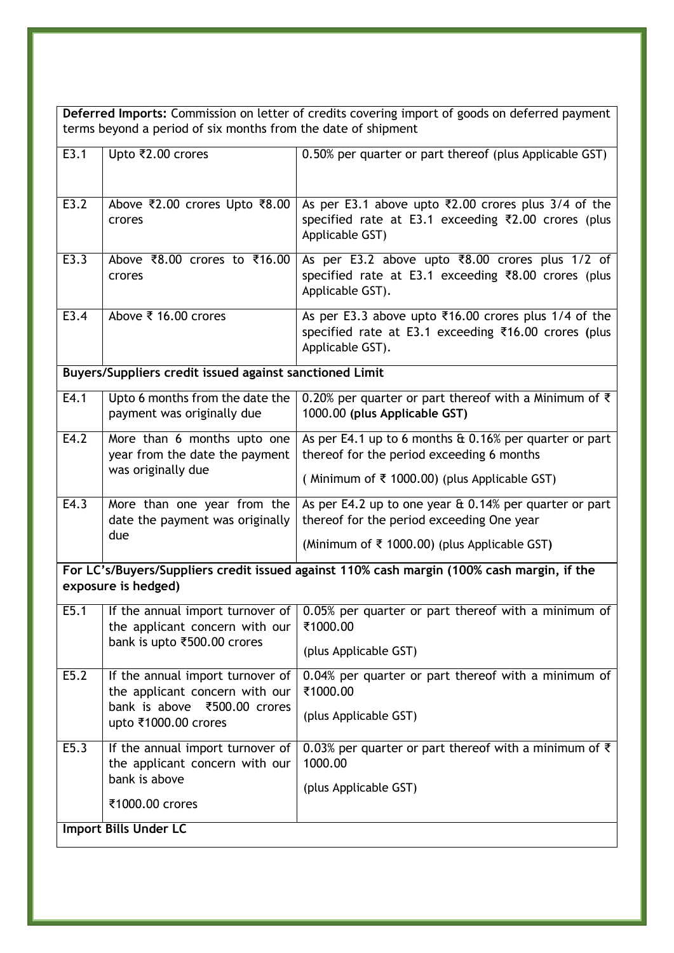**Deferred Imports:** Commission on letter of credits covering import of goods on deferred payment terms beyond a period of six months from the date of shipment

| $\overline{E3}$ .1                                                                                                | Upto ₹2.00 crores                                                  | 0.50% per quarter or part thereof (plus Applicable GST)                                                                                    |
|-------------------------------------------------------------------------------------------------------------------|--------------------------------------------------------------------|--------------------------------------------------------------------------------------------------------------------------------------------|
| E3.2                                                                                                              | Above ₹2.00 crores Upto ₹8.00<br>crores                            | As per E3.1 above upto $\overline{22.00}$ crores plus 3/4 of the<br>specified rate at E3.1 exceeding ₹2.00 crores (plus<br>Applicable GST) |
| E3.3                                                                                                              | Above ₹8.00 crores to ₹16.00<br>crores                             | As per E3.2 above upto ₹8.00 crores plus 1/2 of<br>specified rate at E3.1 exceeding ₹8.00 crores (plus<br>Applicable GST).                 |
| E3.4                                                                                                              | Above ₹ 16.00 crores                                               | As per E3.3 above upto ₹16.00 crores plus 1/4 of the<br>specified rate at E3.1 exceeding ₹16.00 crores (plus<br>Applicable GST).           |
|                                                                                                                   | Buyers/Suppliers credit issued against sanctioned Limit            |                                                                                                                                            |
| E4.1                                                                                                              | Upto 6 months from the date the<br>payment was originally due      | 0.20% per quarter or part thereof with a Minimum of $\bar{\tau}$<br>1000.00 (plus Applicable GST)                                          |
| E4.2                                                                                                              | More than 6 months upto one<br>year from the date the payment      | As per E4.1 up to 6 months $\&$ 0.16% per quarter or part<br>thereof for the period exceeding 6 months                                     |
|                                                                                                                   | was originally due                                                 | (Minimum of ₹ 1000.00) (plus Applicable GST)                                                                                               |
| E4.3                                                                                                              | More than one year from the<br>date the payment was originally     | As per E4.2 up to one year $\&$ 0.14% per quarter or part<br>thereof for the period exceeding One year                                     |
|                                                                                                                   | due                                                                | (Minimum of $\bar{\tau}$ 1000.00) (plus Applicable GST)                                                                                    |
| For LC's/Buyers/Suppliers credit issued against 110% cash margin (100% cash margin, if the<br>exposure is hedged) |                                                                    |                                                                                                                                            |
| E5.1                                                                                                              | If the annual import turnover of<br>the applicant concern with our | 0.05% per quarter or part thereof with a minimum of<br>₹1000.00                                                                            |
|                                                                                                                   | bank is upto ₹500.00 crores                                        | (plus Applicable GST)                                                                                                                      |
| E5.2                                                                                                              | If the annual import turnover of<br>the applicant concern with our | 0.04% per quarter or part thereof with a minimum of<br>₹1000.00                                                                            |
|                                                                                                                   | bank is above ₹500.00 crores<br>upto ₹1000.00 crores               | (plus Applicable GST)                                                                                                                      |
| E5.3                                                                                                              | If the annual import turnover of<br>the applicant concern with our | 0.03% per quarter or part thereof with a minimum of $\bar{\tau}$<br>1000.00                                                                |
|                                                                                                                   | bank is above                                                      | (plus Applicable GST)                                                                                                                      |
|                                                                                                                   | ₹1000.00 crores                                                    |                                                                                                                                            |
| <b>Import Bills Under LC</b>                                                                                      |                                                                    |                                                                                                                                            |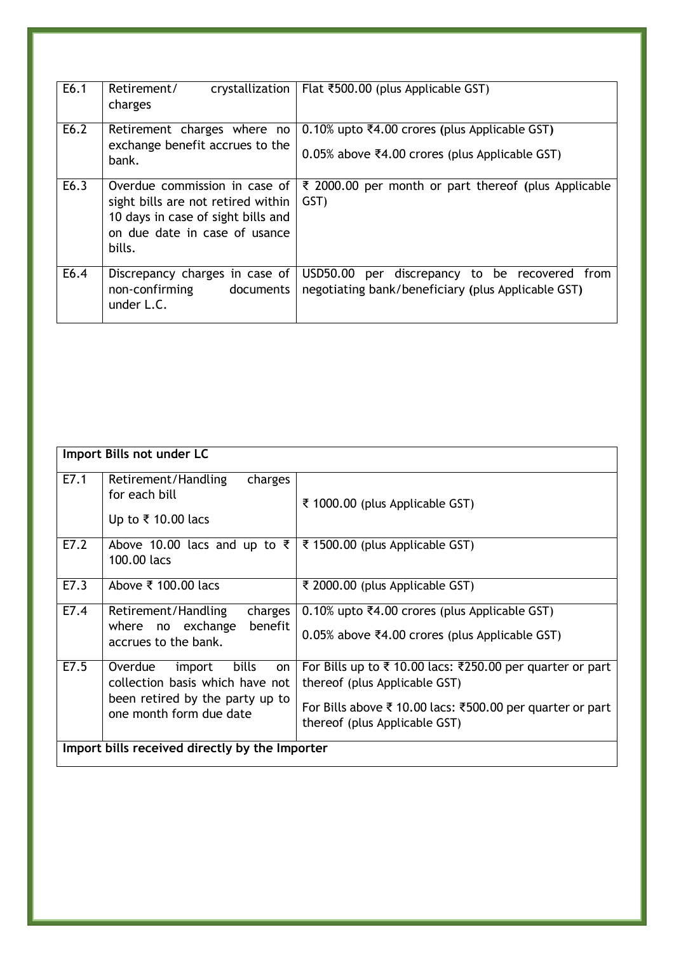| E6.1 | Retirement/<br>charges                                                                                                                               | crystallization   Flat ₹500.00 (plus Applicable GST)                                                |
|------|------------------------------------------------------------------------------------------------------------------------------------------------------|-----------------------------------------------------------------------------------------------------|
| E6.2 | Retirement charges where no<br>exchange benefit accrues to the<br>bank.                                                                              | 0.10% upto ₹4.00 crores (plus Applicable GST)<br>0.05% above ₹4.00 crores (plus Applicable GST)     |
| E6.3 | Overdue commission in case of<br>sight bills are not retired within<br>10 days in case of sight bills and<br>on due date in case of usance<br>bills. | ₹ 2000.00 per month or part thereof (plus Applicable<br>GST)                                        |
| E6.4 | Discrepancy charges in case of<br>non-confirming<br>documents<br>under L.C.                                                                          | USD50.00 per discrepancy to be recovered from<br>negotiating bank/beneficiary (plus Applicable GST) |

|                                                | Import Bills not under LC                                                                                                      |                                                                                                                                                                                         |  |  |
|------------------------------------------------|--------------------------------------------------------------------------------------------------------------------------------|-----------------------------------------------------------------------------------------------------------------------------------------------------------------------------------------|--|--|
| E7.1                                           | charges<br>Retirement/Handling<br>for each bill<br>Up to ₹ 10.00 lacs                                                          | ₹ 1000.00 (plus Applicable GST)                                                                                                                                                         |  |  |
| E7.2                                           | Above 10.00 lacs and up to $\overline{\xi}$  <br>100.00 lacs                                                                   | ₹ 1500.00 (plus Applicable GST)                                                                                                                                                         |  |  |
| E7.3                                           | Above ₹ 100.00 lacs                                                                                                            | ₹ 2000.00 (plus Applicable GST)                                                                                                                                                         |  |  |
| E7.4                                           | charges<br>Retirement/Handling<br>benefit<br>where no exchange<br>accrues to the bank.                                         | 0.10% upto ₹4.00 crores (plus Applicable GST)<br>0.05% above ₹4.00 crores (plus Applicable GST)                                                                                         |  |  |
| E7.5                                           | import bills<br>Overdue<br>on<br>collection basis which have not<br>been retired by the party up to<br>one month form due date | For Bills up to ₹10.00 lacs: ₹250.00 per quarter or part<br>thereof (plus Applicable GST)<br>For Bills above ₹ 10.00 lacs: ₹500.00 per quarter or part<br>thereof (plus Applicable GST) |  |  |
| Import bills received directly by the Importer |                                                                                                                                |                                                                                                                                                                                         |  |  |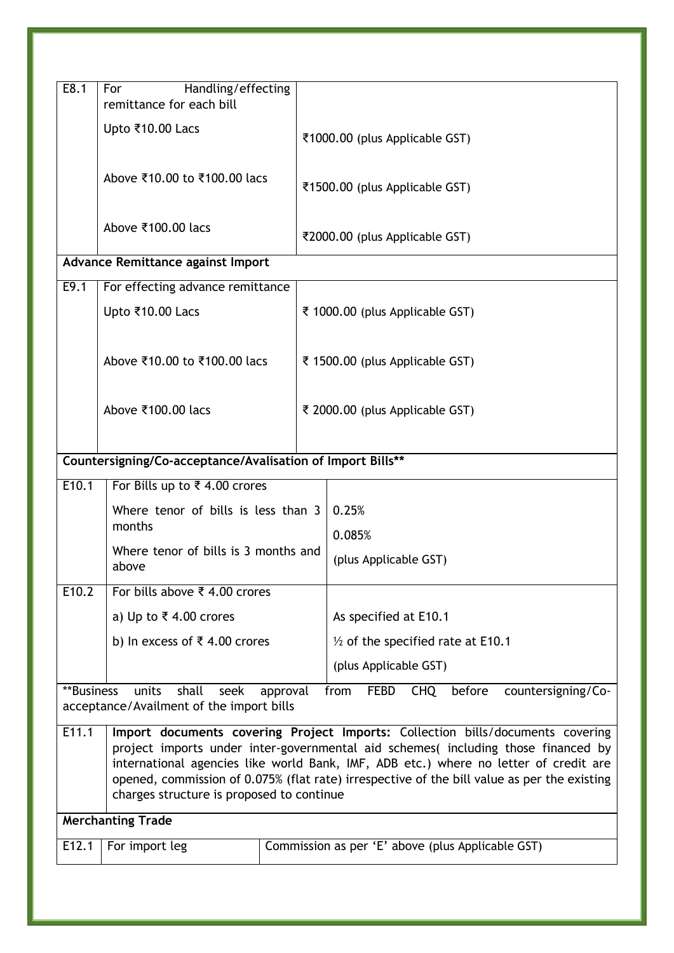| E8.1                     | Handling/effecting<br>For<br>remittance for each bill                                                                                                                                                                                                                                                                                                                                                  |  |                                                                   |  |
|--------------------------|--------------------------------------------------------------------------------------------------------------------------------------------------------------------------------------------------------------------------------------------------------------------------------------------------------------------------------------------------------------------------------------------------------|--|-------------------------------------------------------------------|--|
|                          | Upto ₹10.00 Lacs                                                                                                                                                                                                                                                                                                                                                                                       |  | ₹1000.00 (plus Applicable GST)                                    |  |
|                          | Above ₹10.00 to ₹100.00 lacs                                                                                                                                                                                                                                                                                                                                                                           |  | ₹1500.00 (plus Applicable GST)                                    |  |
|                          | Above ₹100.00 lacs                                                                                                                                                                                                                                                                                                                                                                                     |  | ₹2000.00 (plus Applicable GST)                                    |  |
|                          | Advance Remittance against Import                                                                                                                                                                                                                                                                                                                                                                      |  |                                                                   |  |
| E9.1                     | For effecting advance remittance                                                                                                                                                                                                                                                                                                                                                                       |  |                                                                   |  |
|                          | Upto ₹10.00 Lacs                                                                                                                                                                                                                                                                                                                                                                                       |  | ₹ 1000.00 (plus Applicable GST)                                   |  |
|                          | Above ₹10.00 to ₹100.00 lacs                                                                                                                                                                                                                                                                                                                                                                           |  | ₹ 1500.00 (plus Applicable GST)                                   |  |
|                          | Above ₹100.00 lacs                                                                                                                                                                                                                                                                                                                                                                                     |  | ₹ 2000.00 (plus Applicable GST)                                   |  |
|                          | Countersigning/Co-acceptance/Avalisation of Import Bills**                                                                                                                                                                                                                                                                                                                                             |  |                                                                   |  |
| E10.1                    | For Bills up to ₹4.00 crores                                                                                                                                                                                                                                                                                                                                                                           |  |                                                                   |  |
|                          | Where tenor of bills is less than 3                                                                                                                                                                                                                                                                                                                                                                    |  | 0.25%                                                             |  |
|                          | months                                                                                                                                                                                                                                                                                                                                                                                                 |  | 0.085%                                                            |  |
|                          | Where tenor of bills is 3 months and<br>above                                                                                                                                                                                                                                                                                                                                                          |  | (plus Applicable GST)                                             |  |
| E10.2                    | For bills above ₹ 4.00 crores                                                                                                                                                                                                                                                                                                                                                                          |  |                                                                   |  |
|                          | a) Up to ₹4.00 crores                                                                                                                                                                                                                                                                                                                                                                                  |  | As specified at E10.1                                             |  |
|                          | b) In excess of ₹4.00 crores                                                                                                                                                                                                                                                                                                                                                                           |  | $\frac{1}{2}$ of the specified rate at E10.1                      |  |
|                          |                                                                                                                                                                                                                                                                                                                                                                                                        |  | (plus Applicable GST)                                             |  |
| **Business               | units<br>shall<br>seek<br>approval                                                                                                                                                                                                                                                                                                                                                                     |  | from<br><b>FEBD</b><br><b>CHQ</b><br>before<br>countersigning/Co- |  |
|                          | acceptance/Availment of the import bills                                                                                                                                                                                                                                                                                                                                                               |  |                                                                   |  |
| E11.1                    | Import documents covering Project Imports: Collection bills/documents covering<br>project imports under inter-governmental aid schemes(including those financed by<br>international agencies like world Bank, IMF, ADB etc.) where no letter of credit are<br>opened, commission of 0.075% (flat rate) irrespective of the bill value as per the existing<br>charges structure is proposed to continue |  |                                                                   |  |
| <b>Merchanting Trade</b> |                                                                                                                                                                                                                                                                                                                                                                                                        |  |                                                                   |  |
| E12.1                    | For import leg                                                                                                                                                                                                                                                                                                                                                                                         |  | Commission as per 'E' above (plus Applicable GST)                 |  |
|                          |                                                                                                                                                                                                                                                                                                                                                                                                        |  |                                                                   |  |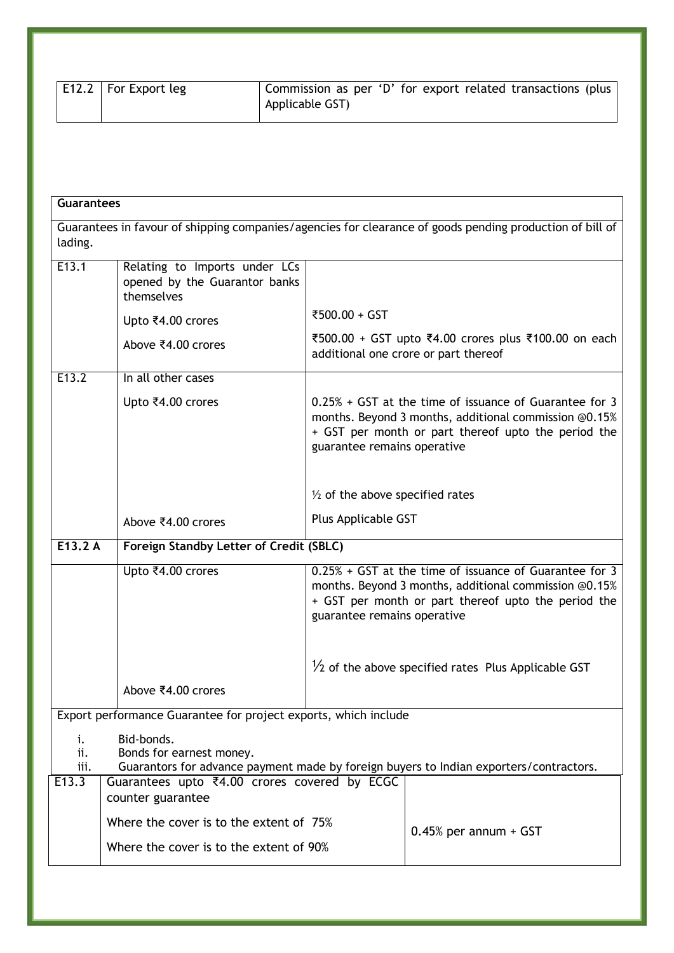| <b>E12.2</b>   For Export leg | Commission as per 'D' for export related transactions (plus<br>Applicable GST) |
|-------------------------------|--------------------------------------------------------------------------------|
|                               |                                                                                |

| <b>Guarantees</b>                                                                                                   |                                                                                                                                  |                                            |                                                                                                                                                                          |
|---------------------------------------------------------------------------------------------------------------------|----------------------------------------------------------------------------------------------------------------------------------|--------------------------------------------|--------------------------------------------------------------------------------------------------------------------------------------------------------------------------|
| Guarantees in favour of shipping companies/agencies for clearance of goods pending production of bill of<br>lading. |                                                                                                                                  |                                            |                                                                                                                                                                          |
| E13.1                                                                                                               | Relating to Imports under LCs<br>opened by the Guarantor banks<br>themselves                                                     |                                            |                                                                                                                                                                          |
|                                                                                                                     | Upto ₹4.00 crores                                                                                                                | ₹500.00 + GST                              |                                                                                                                                                                          |
|                                                                                                                     | Above ₹4.00 crores                                                                                                               |                                            | ₹500.00 + GST upto ₹4.00 crores plus ₹100.00 on each<br>additional one crore or part thereof                                                                             |
| E13.2                                                                                                               | In all other cases                                                                                                               |                                            |                                                                                                                                                                          |
|                                                                                                                     | Upto ₹4.00 crores                                                                                                                | guarantee remains operative                | 0.25% + GST at the time of issuance of Guarantee for 3<br>months. Beyond 3 months, additional commission @0.15%<br>+ GST per month or part thereof upto the period the   |
|                                                                                                                     |                                                                                                                                  | $\frac{1}{2}$ of the above specified rates |                                                                                                                                                                          |
|                                                                                                                     | Above ₹4.00 crores                                                                                                               | Plus Applicable GST                        |                                                                                                                                                                          |
| E13.2A                                                                                                              | Foreign Standby Letter of Credit (SBLC)                                                                                          |                                            |                                                                                                                                                                          |
|                                                                                                                     | Upto ₹4.00 crores                                                                                                                | guarantee remains operative                | $0.25% + GST$ at the time of issuance of Guarantee for 3<br>months. Beyond 3 months, additional commission @0.15%<br>+ GST per month or part thereof upto the period the |
|                                                                                                                     |                                                                                                                                  |                                            | $\frac{1}{2}$ of the above specified rates Plus Applicable GST                                                                                                           |
|                                                                                                                     | Above ₹4.00 crores                                                                                                               |                                            |                                                                                                                                                                          |
| Export performance Guarantee for project exports, which include                                                     |                                                                                                                                  |                                            |                                                                                                                                                                          |
| i.<br>ii.<br>iii.                                                                                                   | Bid-bonds.<br>Bonds for earnest money.<br>Guarantors for advance payment made by foreign buyers to Indian exporters/contractors. |                                            |                                                                                                                                                                          |
| E13.3                                                                                                               | Guarantees upto ₹4.00 crores covered by ECGC<br>counter guarantee                                                                |                                            |                                                                                                                                                                          |
|                                                                                                                     | Where the cover is to the extent of 75%                                                                                          |                                            |                                                                                                                                                                          |
|                                                                                                                     | Where the cover is to the extent of 90%                                                                                          |                                            | $0.45%$ per annum + GST                                                                                                                                                  |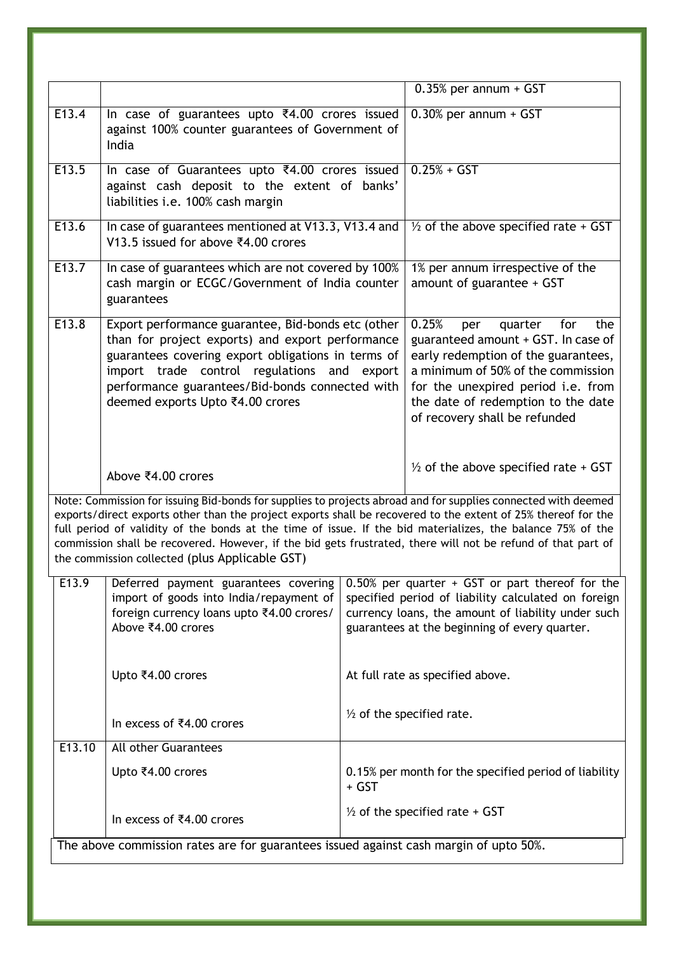|                                                                                                                                                                                                                                                                                                                                                                                                                                                                                                                |                                                                                                                                                                                                                                                                                                    |       | $0.35%$ per annum + GST                                                                                                                                                                                                                                                |
|----------------------------------------------------------------------------------------------------------------------------------------------------------------------------------------------------------------------------------------------------------------------------------------------------------------------------------------------------------------------------------------------------------------------------------------------------------------------------------------------------------------|----------------------------------------------------------------------------------------------------------------------------------------------------------------------------------------------------------------------------------------------------------------------------------------------------|-------|------------------------------------------------------------------------------------------------------------------------------------------------------------------------------------------------------------------------------------------------------------------------|
| E13.4                                                                                                                                                                                                                                                                                                                                                                                                                                                                                                          | In case of guarantees upto ₹4.00 crores issued<br>against 100% counter guarantees of Government of<br>India                                                                                                                                                                                        |       | 0.30% per annum + GST                                                                                                                                                                                                                                                  |
| E13.5                                                                                                                                                                                                                                                                                                                                                                                                                                                                                                          | In case of Guarantees upto ₹4.00 crores issued<br>against cash deposit to the extent of banks'<br>liabilities i.e. 100% cash margin                                                                                                                                                                |       | $0.25% + GST$                                                                                                                                                                                                                                                          |
| E13.6                                                                                                                                                                                                                                                                                                                                                                                                                                                                                                          | In case of guarantees mentioned at V13.3, V13.4 and<br>V13.5 issued for above ₹4.00 crores                                                                                                                                                                                                         |       | $\frac{1}{2}$ of the above specified rate + GST                                                                                                                                                                                                                        |
| E13.7                                                                                                                                                                                                                                                                                                                                                                                                                                                                                                          | In case of guarantees which are not covered by 100%<br>cash margin or ECGC/Government of India counter<br>guarantees                                                                                                                                                                               |       | 1% per annum irrespective of the<br>amount of guarantee + GST                                                                                                                                                                                                          |
| E13.8                                                                                                                                                                                                                                                                                                                                                                                                                                                                                                          | Export performance guarantee, Bid-bonds etc (other<br>than for project exports) and export performance<br>guarantees covering export obligations in terms of<br>import trade control regulations and export<br>performance guarantees/Bid-bonds connected with<br>deemed exports Upto ₹4.00 crores |       | 0.25%<br>for<br>quarter<br>the<br>per<br>guaranteed amount + GST. In case of<br>early redemption of the guarantees,<br>a minimum of 50% of the commission<br>for the unexpired period i.e. from<br>the date of redemption to the date<br>of recovery shall be refunded |
|                                                                                                                                                                                                                                                                                                                                                                                                                                                                                                                | Above ₹4.00 crores                                                                                                                                                                                                                                                                                 |       | $\frac{1}{2}$ of the above specified rate + GST                                                                                                                                                                                                                        |
| Note: Commission for issuing Bid-bonds for supplies to projects abroad and for supplies connected with deemed<br>exports/direct exports other than the project exports shall be recovered to the extent of 25% thereof for the<br>full period of validity of the bonds at the time of issue. If the bid materializes, the balance 75% of the<br>commission shall be recovered. However, if the bid gets frustrated, there will not be refund of that part of<br>the commission collected (plus Applicable GST) |                                                                                                                                                                                                                                                                                                    |       |                                                                                                                                                                                                                                                                        |
| E <sub>13.9</sub>                                                                                                                                                                                                                                                                                                                                                                                                                                                                                              | Deferred payment guarantees covering<br>import of goods into India/repayment of<br>foreign currency loans upto ₹4.00 crores/<br>Above ₹4.00 crores                                                                                                                                                 |       | $0.50\%$ per quarter + GST or part thereof for the<br>specified period of liability calculated on foreign<br>currency loans, the amount of liability under such<br>guarantees at the beginning of every quarter.                                                       |
|                                                                                                                                                                                                                                                                                                                                                                                                                                                                                                                | Upto ₹4.00 crores                                                                                                                                                                                                                                                                                  |       | At full rate as specified above.                                                                                                                                                                                                                                       |
|                                                                                                                                                                                                                                                                                                                                                                                                                                                                                                                | In excess of ₹4.00 crores                                                                                                                                                                                                                                                                          |       | $\frac{1}{2}$ of the specified rate.                                                                                                                                                                                                                                   |
| E13.10                                                                                                                                                                                                                                                                                                                                                                                                                                                                                                         | <b>All other Guarantees</b>                                                                                                                                                                                                                                                                        |       |                                                                                                                                                                                                                                                                        |
|                                                                                                                                                                                                                                                                                                                                                                                                                                                                                                                | Upto ₹4.00 crores                                                                                                                                                                                                                                                                                  | + GST | 0.15% per month for the specified period of liability                                                                                                                                                                                                                  |
|                                                                                                                                                                                                                                                                                                                                                                                                                                                                                                                | In excess of ₹4.00 crores                                                                                                                                                                                                                                                                          |       | $\frac{1}{2}$ of the specified rate + GST                                                                                                                                                                                                                              |
|                                                                                                                                                                                                                                                                                                                                                                                                                                                                                                                | The above commission rates are for guarantees issued against cash margin of upto 50%.                                                                                                                                                                                                              |       |                                                                                                                                                                                                                                                                        |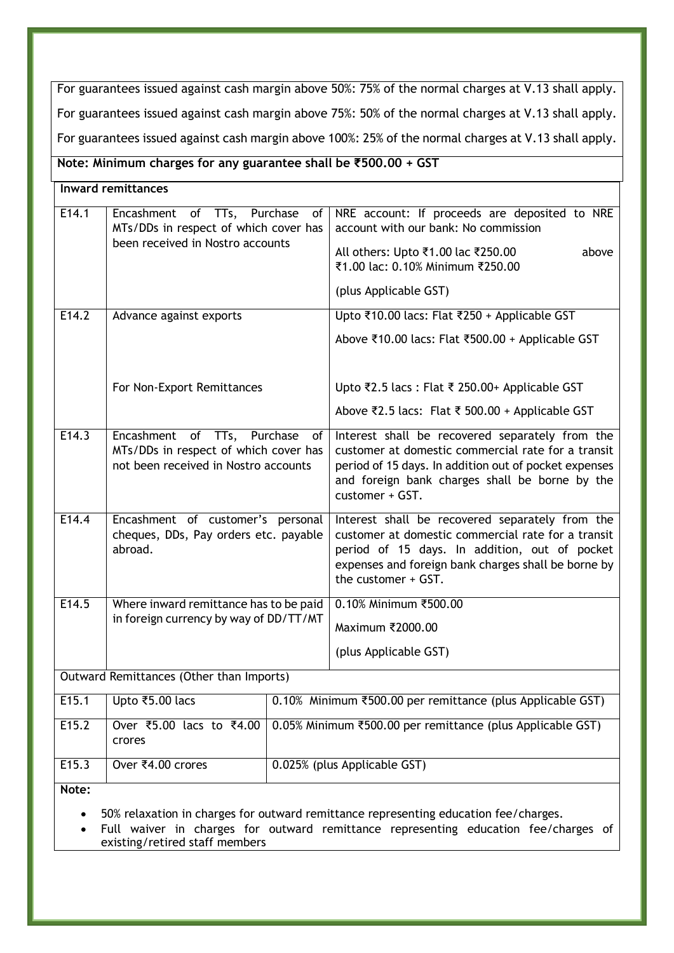For guarantees issued against cash margin above 50%: 75% of the normal charges at V.13 shall apply. For guarantees issued against cash margin above 75%: 50% of the normal charges at V.13 shall apply. For guarantees issued against cash margin above 100%: 25% of the normal charges at V.13 shall apply.

**Note: Minimum charges for any guarantee shall be ₹500.00 + GST**

| <b>Inward remittances</b> |                                                                                                                 |                                                                                                                                                                                                                                      |  |
|---------------------------|-----------------------------------------------------------------------------------------------------------------|--------------------------------------------------------------------------------------------------------------------------------------------------------------------------------------------------------------------------------------|--|
| E14.1                     | Encashment of TTs, Purchase<br>of<br>MTs/DDs in respect of which cover has<br>been received in Nostro accounts  | NRE account: If proceeds are deposited to NRE<br>account with our bank: No commission<br>All others: Upto ₹1.00 lac ₹250.00<br>above<br>₹1.00 lac: 0.10% Minimum ₹250.00<br>(plus Applicable GST)                                    |  |
| E14.2                     | Advance against exports                                                                                         | Upto ₹10.00 lacs: Flat ₹250 + Applicable GST<br>Above ₹10.00 lacs: Flat ₹500.00 + Applicable GST                                                                                                                                     |  |
|                           | For Non-Export Remittances                                                                                      | Upto ₹2.5 lacs: Flat ₹ 250.00+ Applicable GST<br>Above ₹2.5 lacs: Flat ₹ 500.00 + Applicable GST                                                                                                                                     |  |
| E14.3                     | Encashment of TTs, Purchase of<br>MTs/DDs in respect of which cover has<br>not been received in Nostro accounts | Interest shall be recovered separately from the<br>customer at domestic commercial rate for a transit<br>period of 15 days. In addition out of pocket expenses<br>and foreign bank charges shall be borne by the<br>customer + GST.  |  |
| E14.4                     | Encashment of customer's personal<br>cheques, DDs, Pay orders etc. payable<br>abroad.                           | Interest shall be recovered separately from the<br>customer at domestic commercial rate for a transit<br>period of 15 days. In addition, out of pocket<br>expenses and foreign bank charges shall be borne by<br>the customer + GST. |  |
| E14.5                     | Where inward remittance has to be paid<br>in foreign currency by way of DD/TT/MT                                | 0.10% Minimum ₹500.00<br>Maximum ₹2000.00<br>(plus Applicable GST)                                                                                                                                                                   |  |
|                           | Outward Remittances (Other than Imports)                                                                        |                                                                                                                                                                                                                                      |  |
| E15.1                     | Upto ₹5.00 lacs                                                                                                 | 0.10% Minimum ₹500.00 per remittance (plus Applicable GST)                                                                                                                                                                           |  |
|                           |                                                                                                                 | $\overline{z}$ $\overline{z}$ $\overline{z}$ $\overline{z}$                                                                                                                                                                          |  |

| E <sub>15.2</sub> | crores            | Over ₹5.00 lacs to ₹4.00   0.05% Minimum ₹500.00 per remittance (plus Applicable GST) |
|-------------------|-------------------|---------------------------------------------------------------------------------------|
| E <sub>15.3</sub> | Over ₹4.00 crores | 0.025% (plus Applicable GST)                                                          |

**Note:** 

50% relaxation in charges for outward remittance representing education fee/charges.

 Full waiver in charges for outward remittance representing education fee/charges of existing/retired staff members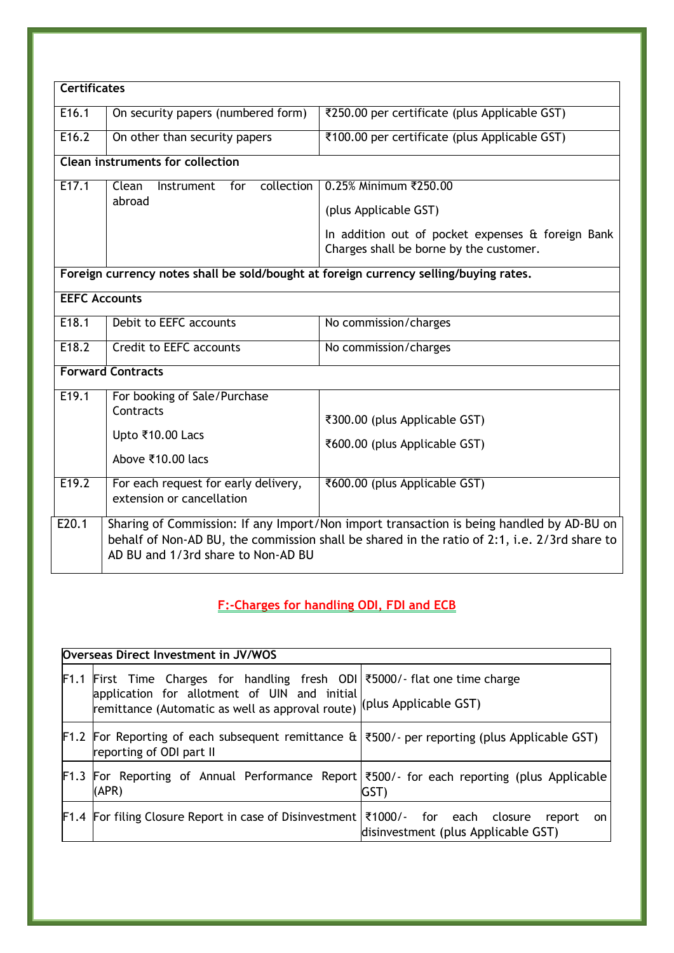| <b>Certificates</b>  |                                                                   |                                                                                                                                                                                          |
|----------------------|-------------------------------------------------------------------|------------------------------------------------------------------------------------------------------------------------------------------------------------------------------------------|
|                      |                                                                   |                                                                                                                                                                                          |
| E16.1                | On security papers (numbered form)                                | ₹250.00 per certificate (plus Applicable GST)                                                                                                                                            |
| E16.2                | On other than security papers                                     | ₹100.00 per certificate (plus Applicable GST)                                                                                                                                            |
|                      | Clean instruments for collection                                  |                                                                                                                                                                                          |
| E <sub>17.1</sub>    | collection<br>Clean<br>for<br>Instrument                          | 0.25% Minimum ₹250.00                                                                                                                                                                    |
|                      | abroad                                                            | (plus Applicable GST)                                                                                                                                                                    |
|                      |                                                                   | In addition out of pocket expenses & foreign Bank<br>Charges shall be borne by the customer.                                                                                             |
|                      |                                                                   | Foreign currency notes shall be sold/bought at foreign currency selling/buying rates.                                                                                                    |
| <b>EEFC Accounts</b> |                                                                   |                                                                                                                                                                                          |
| E18.1                | Debit to EEFC accounts                                            | No commission/charges                                                                                                                                                                    |
| E18.2                | Credit to EEFC accounts                                           | No commission/charges                                                                                                                                                                    |
|                      | <b>Forward Contracts</b>                                          |                                                                                                                                                                                          |
| E19.1                | For booking of Sale/Purchase                                      |                                                                                                                                                                                          |
|                      | Contracts                                                         | ₹300.00 (plus Applicable GST)                                                                                                                                                            |
|                      | Upto ₹10.00 Lacs                                                  | ₹600.00 (plus Applicable GST)                                                                                                                                                            |
|                      | Above ₹10.00 lacs                                                 |                                                                                                                                                                                          |
| E19.2                | For each request for early delivery,<br>extension or cancellation | ₹600.00 (plus Applicable GST)                                                                                                                                                            |
| E20.1                | AD BU and 1/3rd share to Non-AD BU                                | Sharing of Commission: If any Import/Non import transaction is being handled by AD-BU on<br>behalf of Non-AD BU, the commission shall be shared in the ratio of 2:1, i.e. 2/3rd share to |

### <span id="page-17-0"></span>**F:-Charges for handling ODI, FDI and ECB**

<span id="page-17-1"></span>

|      | Overseas Direct Investment in JV/WOS                                                                                                  |                                                     |
|------|---------------------------------------------------------------------------------------------------------------------------------------|-----------------------------------------------------|
| F1.1 | First Time Charges for handling fresh ODI ₹5000/- flat one time charge                                                                |                                                     |
|      | application for allotment of UIN and initial<br>remittance (Automatic as well as approval route) (plus Applicable GST)                |                                                     |
|      | <b>F1.2</b> For Reporting of each subsequent remittance $\&$   ₹500/- per reporting (plus Applicable GST)<br>reporting of ODI part II |                                                     |
|      | F1.3 For Reporting of Annual Performance Report 7500/- for each reporting (plus Applicable)<br>(APR)                                  | GST)                                                |
|      | <b>F1.4</b> For filing Closure Report in case of Disinvestment $\frac{3}{5}$ 1000/- for each closure                                  | report<br>on<br>disinvestment (plus Applicable GST) |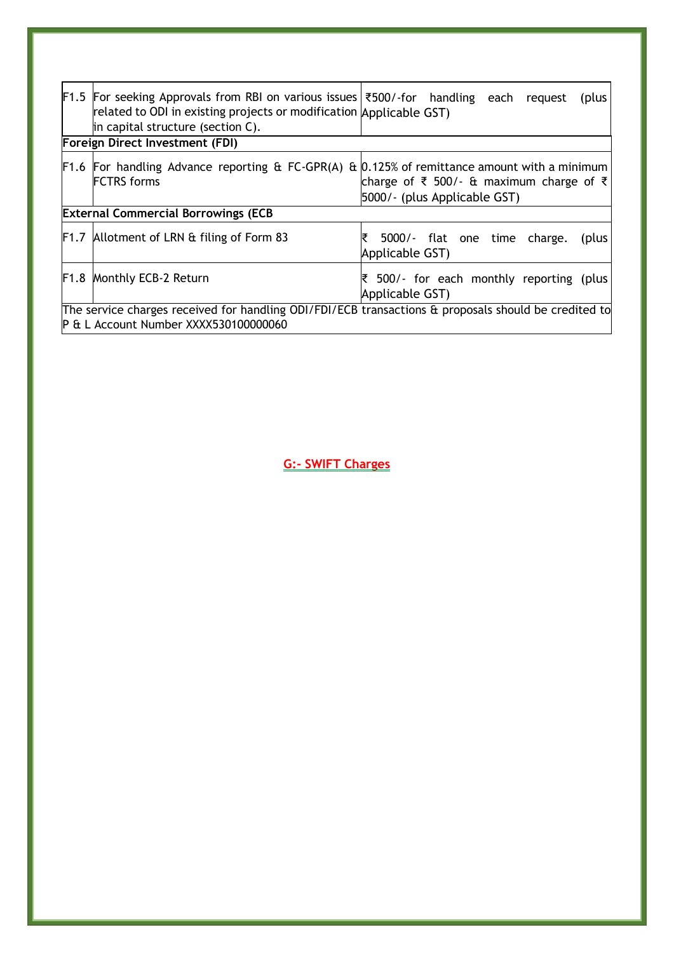| <b>F1.5</b> For seeking Approvals from RBI on various issues $\frac{300}{100}$ for handling each request<br>related to ODI in existing projects or modification Applicable GST)<br>in capital structure (section C).<br><b>Foreign Direct Investment (FDI)</b> | (plus                                                       |
|----------------------------------------------------------------------------------------------------------------------------------------------------------------------------------------------------------------------------------------------------------------|-------------------------------------------------------------|
|                                                                                                                                                                                                                                                                |                                                             |
| <b>F1.6</b> For handling Advance reporting & FC-GPR(A) & $[0.125\%$ of remittance amount with a minimum                                                                                                                                                        |                                                             |
| <b>FCTRS</b> forms                                                                                                                                                                                                                                             | charge of ₹ 500/- & maximum charge of ₹                     |
|                                                                                                                                                                                                                                                                | 5000/- (plus Applicable GST)                                |
| <b>External Commercial Borrowings (ECB</b>                                                                                                                                                                                                                     |                                                             |
| <b>F1.7</b> Allotment of LRN & filing of Form 83                                                                                                                                                                                                               | 5000/- flat one time charge.<br>(plus)<br>Applicable GST)   |
| F1.8 Monthly ECB-2 Return                                                                                                                                                                                                                                      | ₹ 500/- for each monthly reporting (plus<br>Applicable GST) |
| The service charges received for handling ODI/FDI/ECB transactions & proposals should be credited to<br>P & L Account Number XXXX530100000060                                                                                                                  |                                                             |

<span id="page-18-1"></span><span id="page-18-0"></span>**G:- SWIFT Charges**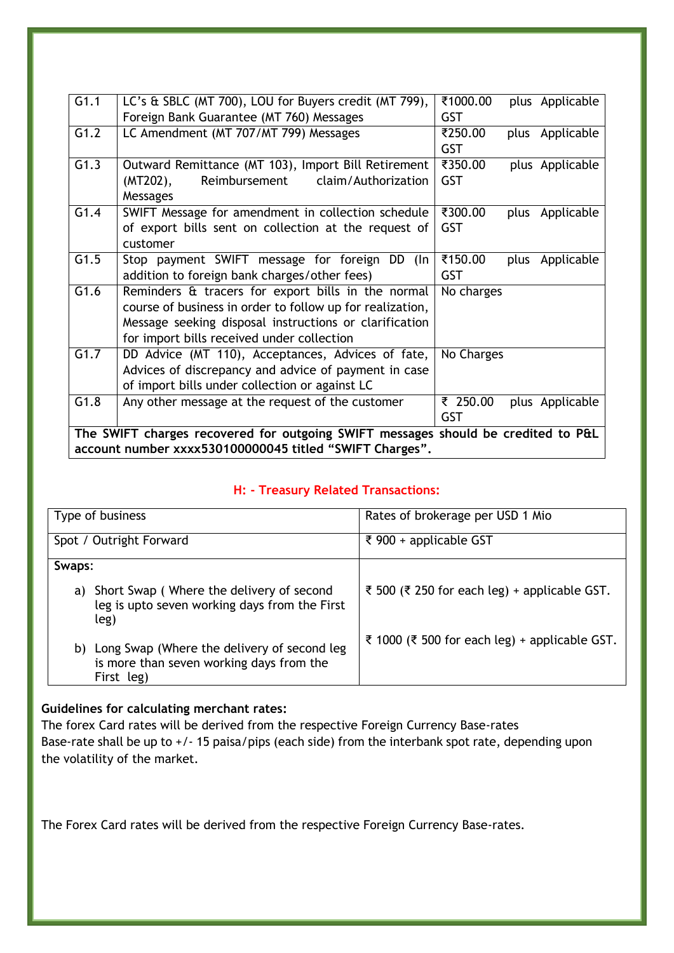| G1.1              | LC's & SBLC (MT 700), LOU for Buyers credit (MT 799),                             | ₹1000.00   | plus Applicable |
|-------------------|-----------------------------------------------------------------------------------|------------|-----------------|
|                   | Foreign Bank Guarantee (MT 760) Messages                                          | <b>GST</b> |                 |
| G1.2              | LC Amendment (MT 707/MT 799) Messages                                             | ₹250.00    | plus Applicable |
|                   |                                                                                   | <b>GST</b> |                 |
| G1.3              | Outward Remittance (MT 103), Import Bill Retirement                               | ₹350.00    | plus Applicable |
|                   | Reimbursement<br>claim/Authorization<br>$(MT202)$ ,                               | <b>GST</b> |                 |
|                   | Messages                                                                          |            |                 |
| G1.4              | SWIFT Message for amendment in collection schedule                                | ₹300.00    | plus Applicable |
|                   | of export bills sent on collection at the request of                              | <b>GST</b> |                 |
|                   | customer                                                                          |            |                 |
| G1.5              | Stop payment SWIFT message for foreign<br>DD (In                                  | ₹150.00    | plus Applicable |
|                   | addition to foreign bank charges/other fees)                                      | <b>GST</b> |                 |
| $\overline{G1.6}$ | Reminders & tracers for export bills in the normal                                | No charges |                 |
|                   | course of business in order to follow up for realization,                         |            |                 |
|                   | Message seeking disposal instructions or clarification                            |            |                 |
|                   | for import bills received under collection                                        |            |                 |
| $\overline{G1.7}$ | DD Advice (MT 110), Acceptances, Advices of fate,                                 | No Charges |                 |
|                   | Advices of discrepancy and advice of payment in case                              |            |                 |
|                   | of import bills under collection or against LC                                    |            |                 |
| G1.8              | Any other message at the request of the customer                                  | ₹ 250.00   | plus Applicable |
|                   |                                                                                   | <b>GST</b> |                 |
|                   | The SWIFT charges recovered for outgoing SWIFT messages should be credited to P&L |            |                 |
|                   | account number xxxx530100000045 titled "SWIFT Charges".                           |            |                 |

#### <span id="page-19-0"></span>**H: - Treasury Related Transactions:**

| Type of business                                                                                            | Rates of brokerage per USD 1 Mio              |
|-------------------------------------------------------------------------------------------------------------|-----------------------------------------------|
|                                                                                                             |                                               |
| Spot / Outright Forward                                                                                     | ₹ 900 + applicable GST                        |
|                                                                                                             |                                               |
| Swaps:                                                                                                      |                                               |
| Short Swap (Where the delivery of second<br>a)<br>leg is upto seven working days from the First<br>leg)     | ₹ 500 (₹ 250 for each leg) + applicable GST.  |
| Long Swap (Where the delivery of second leg<br>b)<br>is more than seven working days from the<br>First leg) | ₹ 1000 (₹ 500 for each leg) + applicable GST. |

#### **Guidelines for calculating merchant rates:**

The forex Card rates will be derived from the respective Foreign Currency Base-rates Base-rate shall be up to +/- 15 paisa/pips (each side) from the interbank spot rate, depending upon the volatility of the market.

The Forex Card rates will be derived from the respective Foreign Currency Base-rates.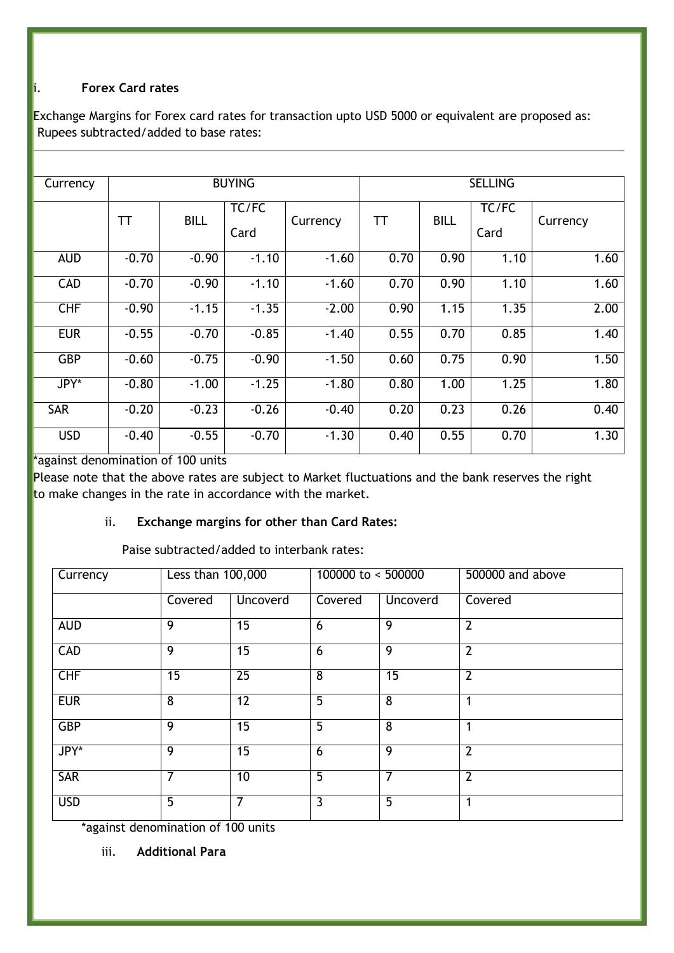#### i. **Forex Card rates**

Exchange Margins for Forex card rates for transaction upto USD 5000 or equivalent are proposed as: Rupees subtracted/added to base rates:

| Currency   |           |             | <b>BUYING</b> |          |      |             | <b>SELLING</b> |          |
|------------|-----------|-------------|---------------|----------|------|-------------|----------------|----------|
|            | <b>TT</b> | <b>BILL</b> | TC/FC<br>Card | Currency | TΤ   | <b>BILL</b> | TC/FC<br>Card  | Currency |
| <b>AUD</b> | $-0.70$   | $-0.90$     | $-1.10$       | $-1.60$  | 0.70 | 0.90        | 1.10           | 1.60     |
| <b>CAD</b> | $-0.70$   | $-0.90$     | $-1.10$       | $-1.60$  | 0.70 | 0.90        | 1.10           | 1.60     |
| <b>CHF</b> | $-0.90$   | $-1.15$     | $-1.35$       | $-2.00$  | 0.90 | 1.15        | 1.35           | 2.00     |
| <b>EUR</b> | $-0.55$   | $-0.70$     | $-0.85$       | $-1.40$  | 0.55 | 0.70        | 0.85           | 1.40     |
| <b>GBP</b> | $-0.60$   | $-0.75$     | $-0.90$       | $-1.50$  | 0.60 | 0.75        | 0.90           | 1.50     |
| JPY*       | $-0.80$   | $-1.00$     | $-1.25$       | $-1.80$  | 0.80 | 1.00        | 1.25           | 1.80     |
| SAR        | $-0.20$   | $-0.23$     | $-0.26$       | $-0.40$  | 0.20 | 0.23        | 0.26           | 0.40     |
| <b>USD</b> | $-0.40$   | $-0.55$     | $-0.70$       | $-1.30$  | 0.40 | 0.55        | 0.70           | 1.30     |

\*against denomination of 100 units

Please note that the above rates are subject to Market fluctuations and the bank reserves the right to make changes in the rate in accordance with the market.

#### ii. **Exchange margins for other than Card Rates:**

Paise subtracted/added to interbank rates:

| Currency   | Less than 100,000 |                 | 100000 to $\leq$ 500000 |                 | 500000 and above |
|------------|-------------------|-----------------|-------------------------|-----------------|------------------|
|            | Covered           | Uncoverd        | Covered                 | Uncoverd        | Covered          |
| <b>AUD</b> | 9                 | 15              | 6                       | 9               | $\overline{2}$   |
| <b>CAD</b> | 9                 | 15              | 6                       | $\overline{9}$  | $\overline{2}$   |
| CHF        | 15                | $\overline{25}$ | 8                       | $\overline{15}$ | $\overline{2}$   |
| <b>EUR</b> | 8                 | 12              | 5                       | 8               | 1                |
| <b>GBP</b> | $\overline{9}$    | $\overline{15}$ | $\overline{5}$          | $\overline{8}$  | 1                |
| JPY*       | 9                 | 15              | 6                       | 9               | $\overline{2}$   |
| <b>SAR</b> | 7                 | 10              | 5                       | 7               | $\overline{2}$   |
| <b>USD</b> | 5                 | $\overline{7}$  | 3                       | 5               | 1                |

\*against denomination of 100 units

iii. **Additional Para**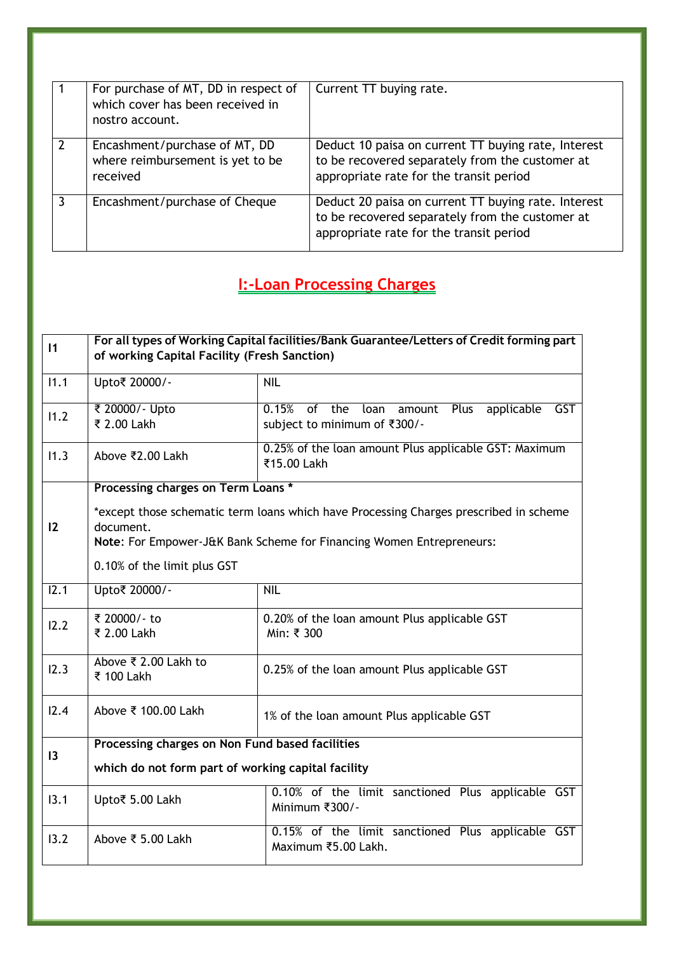| For purchase of MT, DD in respect of<br>which cover has been received in<br>nostro account. | Current TT buying rate.                                                                                                                           |
|---------------------------------------------------------------------------------------------|---------------------------------------------------------------------------------------------------------------------------------------------------|
| Encashment/purchase of MT, DD<br>where reimbursement is yet to be<br>received               | Deduct 10 paisa on current TT buying rate, Interest<br>to be recovered separately from the customer at<br>appropriate rate for the transit period |
| Encashment/purchase of Cheque                                                               | Deduct 20 paisa on current TT buying rate. Interest<br>to be recovered separately from the customer at<br>appropriate rate for the transit period |

### <span id="page-21-0"></span>**I:-Loan Processing Charges**

| $\vert$ 1 | For all types of Working Capital facilities/Bank Guarantee/Letters of Credit forming part<br>of working Capital Facility (Fresh Sanction)                                  |                                                                                             |  |
|-----------|----------------------------------------------------------------------------------------------------------------------------------------------------------------------------|---------------------------------------------------------------------------------------------|--|
| 11.1      | Upto₹ 20000/-                                                                                                                                                              | <b>NIL</b>                                                                                  |  |
| 11.2      | ₹ 20000/- Upto<br>₹ 2.00 Lakh                                                                                                                                              | 0.15%<br>of the<br>Plus<br>applicable<br>GST<br>loan amount<br>subject to minimum of ₹300/- |  |
| 11.3      | Above ₹2.00 Lakh                                                                                                                                                           | 0.25% of the loan amount Plus applicable GST: Maximum<br>₹15.00 Lakh                        |  |
|           | Processing charges on Term Loans *                                                                                                                                         |                                                                                             |  |
| 12        | *except those schematic term loans which have Processing Charges prescribed in scheme<br>document.<br>Note: For Empower-J&K Bank Scheme for Financing Women Entrepreneurs: |                                                                                             |  |
|           | 0.10% of the limit plus GST                                                                                                                                                |                                                                                             |  |
| 12.1      | Upto₹ 20000/-                                                                                                                                                              | <b>NIL</b>                                                                                  |  |
| 12.2      | ₹ 20000/- to<br>₹ 2.00 Lakh                                                                                                                                                | 0.20% of the loan amount Plus applicable GST<br>Min: ₹ 300                                  |  |
| 12.3      | Above ₹ 2.00 Lakh to<br>₹ 100 Lakh                                                                                                                                         | 0.25% of the loan amount Plus applicable GST                                                |  |
| 12.4      | Above ₹ 100.00 Lakh                                                                                                                                                        | 1% of the loan amount Plus applicable GST                                                   |  |
| 3         | Processing charges on Non Fund based facilities                                                                                                                            |                                                                                             |  |
|           | which do not form part of working capital facility                                                                                                                         |                                                                                             |  |
| 13.1      | Upto₹ 5.00 Lakh                                                                                                                                                            | 0.10% of the limit sanctioned Plus applicable GST<br>Minimum ₹300/-                         |  |
| 13.2      | Above ₹ 5.00 Lakh                                                                                                                                                          | 0.15% of the limit sanctioned Plus applicable GST<br>Maximum ₹5.00 Lakh.                    |  |
|           |                                                                                                                                                                            |                                                                                             |  |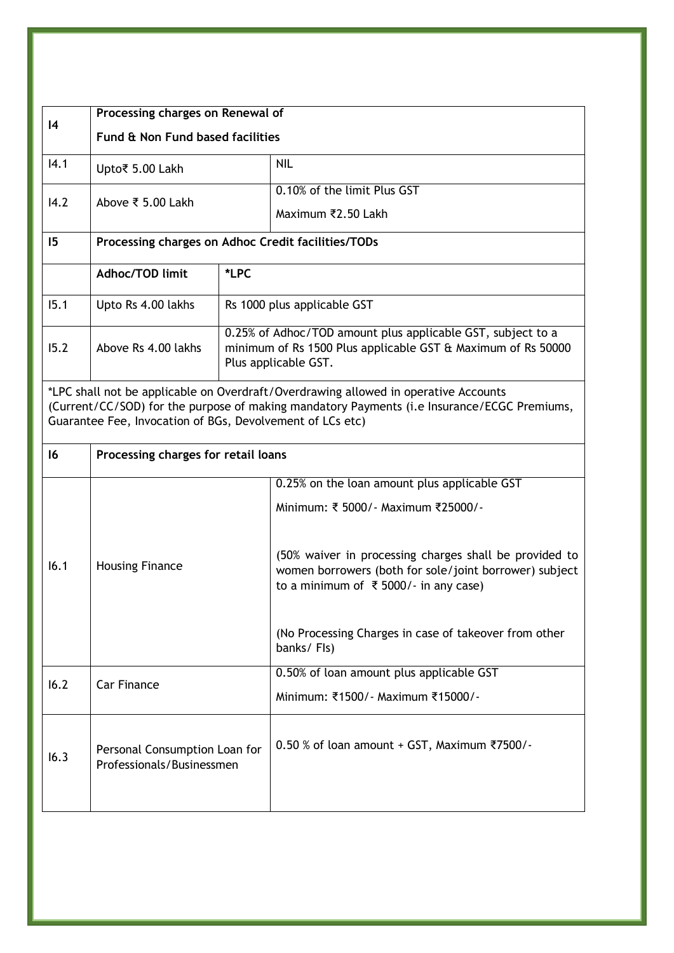|      | Processing charges on Renewal of                                                                                                                                                                                                                |      |                                                                                                                                                                          |  |
|------|-------------------------------------------------------------------------------------------------------------------------------------------------------------------------------------------------------------------------------------------------|------|--------------------------------------------------------------------------------------------------------------------------------------------------------------------------|--|
| 4    | Fund & Non Fund based facilities                                                                                                                                                                                                                |      |                                                                                                                                                                          |  |
| 14.1 | Upto₹ 5.00 Lakh                                                                                                                                                                                                                                 |      | <b>NIL</b>                                                                                                                                                               |  |
| 14.2 | Above ₹ 5.00 Lakh                                                                                                                                                                                                                               |      | 0.10% of the limit Plus GST                                                                                                                                              |  |
|      |                                                                                                                                                                                                                                                 |      | Maximum ₹2.50 Lakh                                                                                                                                                       |  |
| 15   | Processing charges on Adhoc Credit facilities/TODs                                                                                                                                                                                              |      |                                                                                                                                                                          |  |
|      | Adhoc/TOD limit                                                                                                                                                                                                                                 | *LPC |                                                                                                                                                                          |  |
| 15.1 | Upto Rs 4.00 lakhs                                                                                                                                                                                                                              |      | Rs 1000 plus applicable GST                                                                                                                                              |  |
| 15.2 | Above Rs 4.00 lakhs                                                                                                                                                                                                                             |      | 0.25% of Adhoc/TOD amount plus applicable GST, subject to a<br>minimum of Rs 1500 Plus applicable GST & Maximum of Rs 50000<br>Plus applicable GST.                      |  |
|      | *LPC shall not be applicable on Overdraft/Overdrawing allowed in operative Accounts<br>(Current/CC/SOD) for the purpose of making mandatory Payments (i.e Insurance/ECGC Premiums,<br>Guarantee Fee, Invocation of BGs, Devolvement of LCs etc) |      |                                                                                                                                                                          |  |
| 16   | Processing charges for retail loans                                                                                                                                                                                                             |      |                                                                                                                                                                          |  |
|      | <b>Housing Finance</b>                                                                                                                                                                                                                          |      | 0.25% on the loan amount plus applicable GST<br>Minimum: ₹ 5000/ - Maximum ₹25000/ -                                                                                     |  |
| 16.1 |                                                                                                                                                                                                                                                 |      | (50% waiver in processing charges shall be provided to<br>women borrowers (both for sole/joint borrower) subject<br>to a minimum of $\overline{\xi}$ 5000/- in any case) |  |
|      |                                                                                                                                                                                                                                                 |      | (No Processing Charges in case of takeover from other<br>banks/Fls)                                                                                                      |  |
| 16.2 | <b>Car Finance</b>                                                                                                                                                                                                                              |      | 0.50% of loan amount plus applicable GST                                                                                                                                 |  |
|      |                                                                                                                                                                                                                                                 |      | Minimum: ₹1500/ - Maximum ₹15000/ -                                                                                                                                      |  |
| 16.3 | Personal Consumption Loan for<br>Professionals/Businessmen                                                                                                                                                                                      |      | $0.50$ % of loan amount + GST, Maximum ₹7500/-                                                                                                                           |  |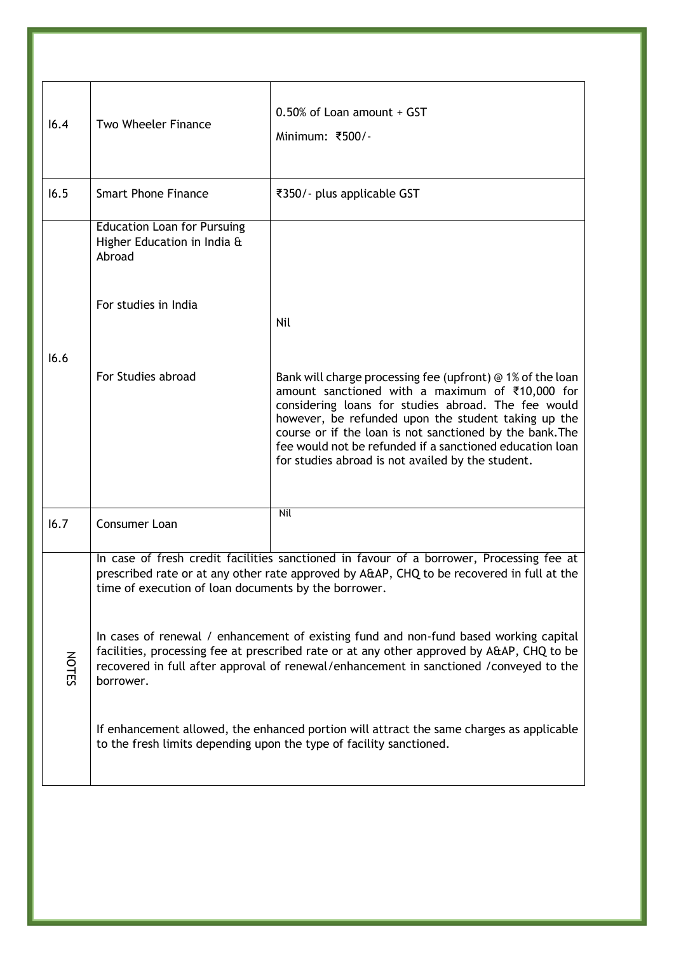| 16.4         | Two Wheeler Finance                                                         | 0.50% of Loan amount + GST<br>Minimum: ₹500/-                                                                                                                                                                                                                                                                                                                                                            |
|--------------|-----------------------------------------------------------------------------|----------------------------------------------------------------------------------------------------------------------------------------------------------------------------------------------------------------------------------------------------------------------------------------------------------------------------------------------------------------------------------------------------------|
| 16.5         | <b>Smart Phone Finance</b>                                                  | ₹350/- plus applicable GST                                                                                                                                                                                                                                                                                                                                                                               |
|              | <b>Education Loan for Pursuing</b><br>Higher Education in India &<br>Abroad |                                                                                                                                                                                                                                                                                                                                                                                                          |
|              | For studies in India                                                        | Nil                                                                                                                                                                                                                                                                                                                                                                                                      |
| 16.6         | For Studies abroad                                                          | Bank will charge processing fee (upfront) @ 1% of the loan<br>amount sanctioned with a maximum of ₹10,000 for<br>considering loans for studies abroad. The fee would<br>however, be refunded upon the student taking up the<br>course or if the loan is not sanctioned by the bank. The<br>fee would not be refunded if a sanctioned education loan<br>for studies abroad is not availed by the student. |
| 16.7         | Consumer Loan                                                               | Nil                                                                                                                                                                                                                                                                                                                                                                                                      |
|              | time of execution of loan documents by the borrower.                        | In case of fresh credit facilities sanctioned in favour of a borrower, Processing fee at<br>prescribed rate or at any other rate approved by A&AP, CHQ to be recovered in full at the                                                                                                                                                                                                                    |
| <b>NOTES</b> | borrower.                                                                   | In cases of renewal / enhancement of existing fund and non-fund based working capital<br>facilities, processing fee at prescribed rate or at any other approved by A&AP, CHQ to be<br>recovered in full after approval of renewal/enhancement in sanctioned /conveyed to the                                                                                                                             |
|              |                                                                             | If enhancement allowed, the enhanced portion will attract the same charges as applicable<br>to the fresh limits depending upon the type of facility sanctioned.                                                                                                                                                                                                                                          |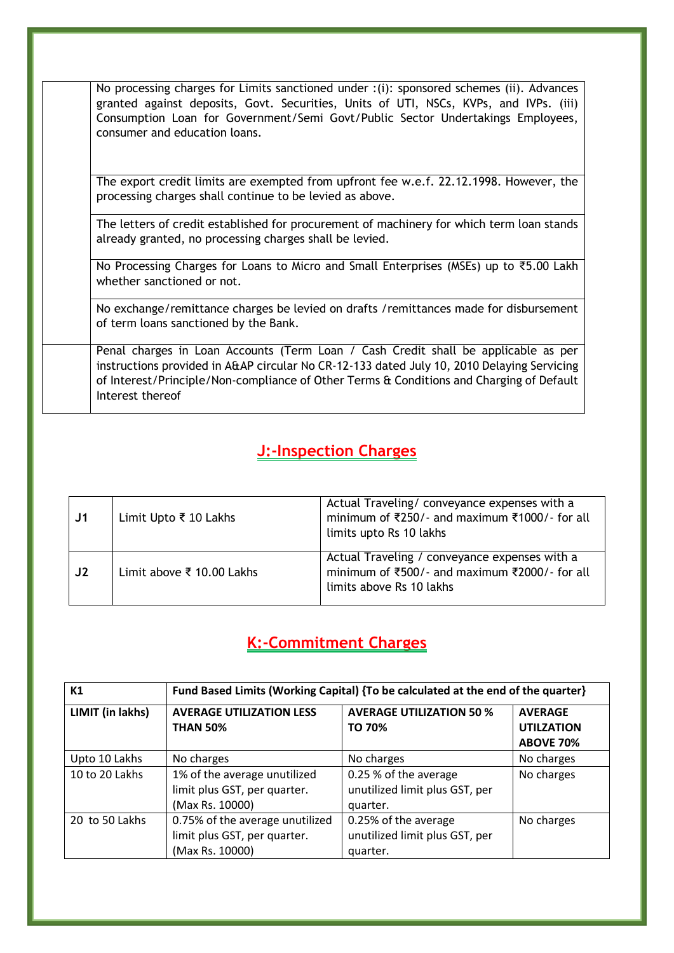| No processing charges for Limits sanctioned under : (i): sponsored schemes (ii). Advances<br>granted against deposits, Govt. Securities, Units of UTI, NSCs, KVPs, and IVPs. (iii)<br>Consumption Loan for Government/Semi Govt/Public Sector Undertakings Employees,<br>consumer and education loans. |
|--------------------------------------------------------------------------------------------------------------------------------------------------------------------------------------------------------------------------------------------------------------------------------------------------------|
| The export credit limits are exempted from upfront fee w.e.f. 22.12.1998. However, the<br>processing charges shall continue to be levied as above.                                                                                                                                                     |
| The letters of credit established for procurement of machinery for which term loan stands<br>already granted, no processing charges shall be levied.                                                                                                                                                   |
| No Processing Charges for Loans to Micro and Small Enterprises (MSEs) up to ₹5.00 Lakh<br>whether sanctioned or not.                                                                                                                                                                                   |
| No exchange/remittance charges be levied on drafts /remittances made for disbursement<br>of term loans sanctioned by the Bank.                                                                                                                                                                         |
| Penal charges in Loan Accounts (Term Loan / Cash Credit shall be applicable as per<br>instructions provided in A&AP circular No CR-12-133 dated July 10, 2010 Delaying Servicing<br>of Interest/Principle/Non-compliance of Other Terms & Conditions and Charging of Default<br>Interest thereof       |

# **J:-Inspection Charges**

<span id="page-24-0"></span>

| J <sub>1</sub> | Limit Upto ₹ 10 Lakhs     | Actual Traveling/conveyance expenses with a<br>minimum of ₹250/- and maximum ₹1000/- for all<br>limits upto Rs 10 lakhs    |
|----------------|---------------------------|----------------------------------------------------------------------------------------------------------------------------|
| J2             | Limit above ₹ 10.00 Lakhs | Actual Traveling / conveyance expenses with a<br>minimum of ₹500/- and maximum ₹2000/- for all<br>limits above Rs 10 lakhs |

# <span id="page-24-1"></span>**K:-Commitment Charges**

| K1               | Fund Based Limits (Working Capital) {To be calculated at the end of the quarter}   |                                                                     |                                                         |
|------------------|------------------------------------------------------------------------------------|---------------------------------------------------------------------|---------------------------------------------------------|
| LIMIT (in lakhs) | <b>AVERAGE UTILIZATION LESS</b><br><b>THAN 50%</b>                                 | <b>AVERAGE UTILIZATION 50 %</b><br>TO 70%                           | <b>AVERAGE</b><br><b>UTILZATION</b><br><b>ABOVE 70%</b> |
| Upto 10 Lakhs    | No charges                                                                         | No charges                                                          | No charges                                              |
| 10 to 20 Lakhs   | 1% of the average unutilized<br>limit plus GST, per quarter.<br>(Max Rs. 10000)    | 0.25 % of the average<br>unutilized limit plus GST, per<br>quarter. | No charges                                              |
| 20 to 50 Lakhs   | 0.75% of the average unutilized<br>limit plus GST, per quarter.<br>(Max Rs. 10000) | 0.25% of the average<br>unutilized limit plus GST, per<br>quarter.  | No charges                                              |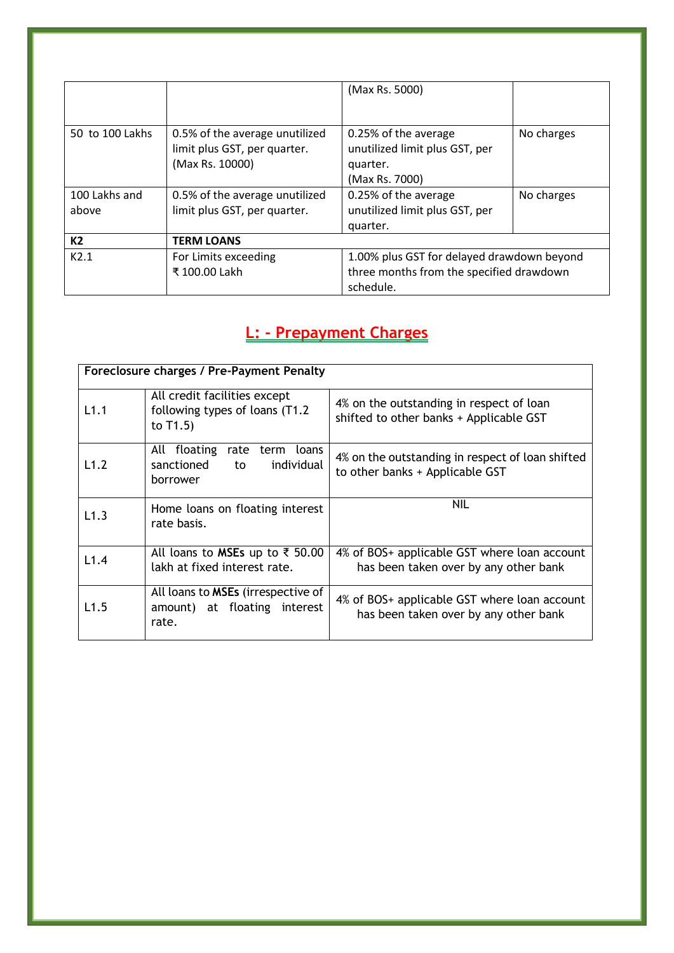|                        |                                                                                   | (Max Rs. 5000)                                                                       |            |
|------------------------|-----------------------------------------------------------------------------------|--------------------------------------------------------------------------------------|------------|
| 50 to 100 Lakhs        | 0.5% of the average unutilized<br>limit plus GST, per quarter.<br>(Max Rs. 10000) | 0.25% of the average<br>unutilized limit plus GST, per<br>quarter.<br>(Max Rs. 7000) | No charges |
| 100 Lakhs and<br>above | 0.5% of the average unutilized<br>limit plus GST, per quarter.                    | 0.25% of the average<br>unutilized limit plus GST, per                               | No charges |
|                        |                                                                                   | quarter.                                                                             |            |
| K <sub>2</sub>         | <b>TERM LOANS</b>                                                                 |                                                                                      |            |
| K2.1                   | For Limits exceeding                                                              | 1.00% plus GST for delayed drawdown beyond                                           |            |
|                        | ₹ 100.00 Lakh                                                                     | three months from the specified drawdown                                             |            |
|                        |                                                                                   | schedule.                                                                            |            |

### <span id="page-25-0"></span>**L: - Prepayment Charges**

| Foreclosure charges / Pre-Payment Penalty |                                                                                     |                                                                                       |
|-------------------------------------------|-------------------------------------------------------------------------------------|---------------------------------------------------------------------------------------|
| L1.1                                      | All credit facilities except<br>following types of loans (T1.2)<br>to $T1.5$        | 4% on the outstanding in respect of loan<br>shifted to other banks + Applicable GST   |
| L1.2                                      | All floating<br>rate<br>term<br>loans<br>individual<br>sanctioned<br>to<br>borrower | 4% on the outstanding in respect of loan shifted<br>to other banks + Applicable GST   |
| L1.3                                      | Home loans on floating interest<br>rate basis.                                      | nil                                                                                   |
| L1.4                                      | All loans to MSEs up to ₹ 50.00<br>lakh at fixed interest rate.                     | 4% of BOS+ applicable GST where loan account<br>has been taken over by any other bank |
| L1.5                                      | All loans to MSEs (irrespective of<br>amount) at floating interest<br>rate.         | 4% of BOS+ applicable GST where loan account<br>has been taken over by any other bank |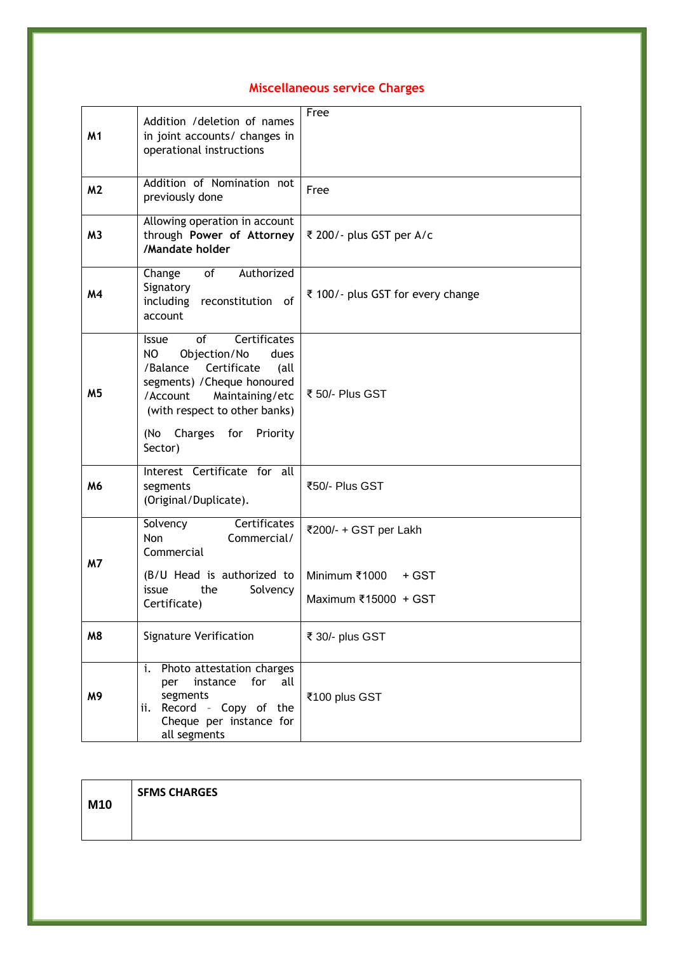#### **Miscellaneous service Charges**

| M1             | Addition / deletion of names<br>in joint accounts/ changes in<br>operational instructions                                                                                                                                                    | Free                                                                    |
|----------------|----------------------------------------------------------------------------------------------------------------------------------------------------------------------------------------------------------------------------------------------|-------------------------------------------------------------------------|
| M <sub>2</sub> | Addition of Nomination not<br>previously done                                                                                                                                                                                                | Free                                                                    |
| M <sub>3</sub> | Allowing operation in account<br>through Power of Attorney<br>/Mandate holder                                                                                                                                                                | ₹ 200/- plus GST per A/c                                                |
| M4             | Authorized<br>Change<br>of<br>Signatory<br>including<br>reconstitution of<br>account                                                                                                                                                         | ₹ 100/- plus GST for every change                                       |
| M5             | Certificates<br>of<br><b>Issue</b><br>NO<br>Objection/No<br>dues<br>/Balance Certificate<br>(all<br>segments) / Cheque honoured<br>/Account<br>Maintaining/etc<br>(with respect to other banks)<br>Charges for<br>(No<br>Priority<br>Sector) | ₹ 50/- Plus GST                                                         |
| M6             | Interest Certificate for all<br>segments<br>(Original/Duplicate).                                                                                                                                                                            | ₹50/- Plus GST                                                          |
| <b>M7</b>      | <b>Certificates</b><br>Solvency<br>Non<br>Commercial/<br>Commercial<br>(B/U Head is authorized to<br>issue<br>the<br>Solvency<br>Certificate)                                                                                                | ₹200/- + GST per Lakh<br>Minimum ₹1000<br>+ GST<br>Maximum ₹15000 + GST |
| M8             | <b>Signature Verification</b>                                                                                                                                                                                                                | ₹ 30/- plus GST                                                         |
| M9             | Photo attestation charges<br>i.<br>instance<br>for<br>all<br>per<br>segments<br>ii. Record - Copy of the<br>Cheque per instance for<br>all segments                                                                                          | ₹100 plus GST                                                           |

| M10 | <b>SFMS CHARGES</b> |
|-----|---------------------|
|     |                     |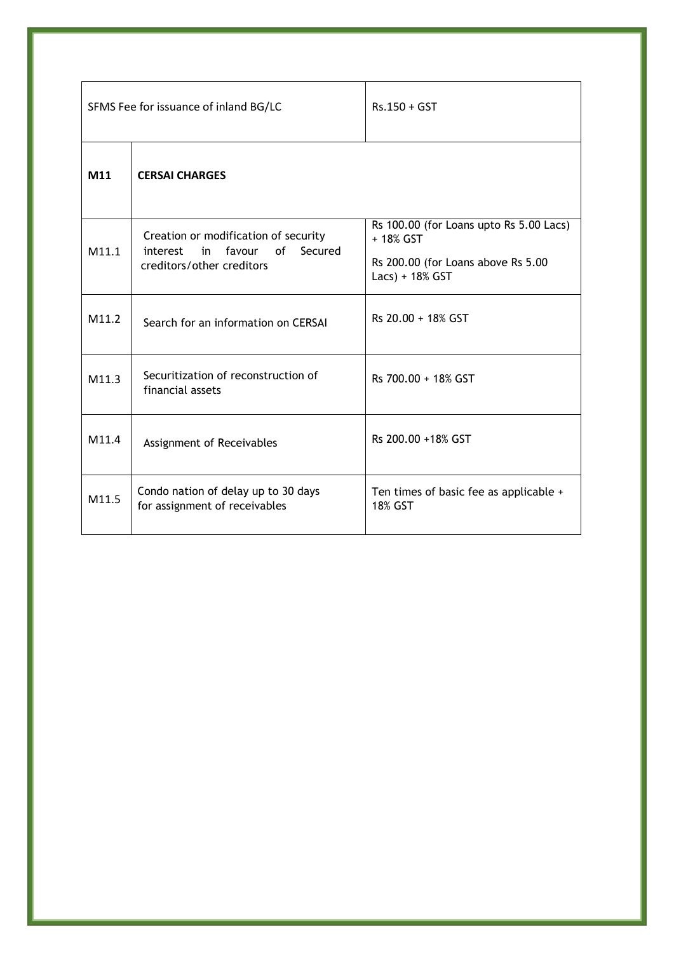| SFMS Fee for issuance of inland BG/LC |                                                                                                                | $Rs.150 + GST$                                                                                                |
|---------------------------------------|----------------------------------------------------------------------------------------------------------------|---------------------------------------------------------------------------------------------------------------|
| M11                                   | <b>CERSAI CHARGES</b>                                                                                          |                                                                                                               |
| M11.1                                 | Creation or modification of security<br>of<br>Secured<br>favour<br>interest<br>in<br>creditors/other creditors | Rs 100.00 (for Loans upto Rs 5.00 Lacs)<br>+ 18% GST<br>Rs 200.00 (for Loans above Rs 5.00<br>Lacs) + 18% GST |
| M11.2                                 | Search for an information on CERSAI                                                                            | Rs 20.00 + 18% GST                                                                                            |
| M11.3                                 | Securitization of reconstruction of<br>financial assets                                                        | Rs 700.00 + 18% GST                                                                                           |
| M11.4                                 | Assignment of Receivables                                                                                      | Rs 200.00 +18% GST                                                                                            |
| M11.5                                 | Condo nation of delay up to 30 days<br>for assignment of receivables                                           | Ten times of basic fee as applicable +<br>18% GST                                                             |